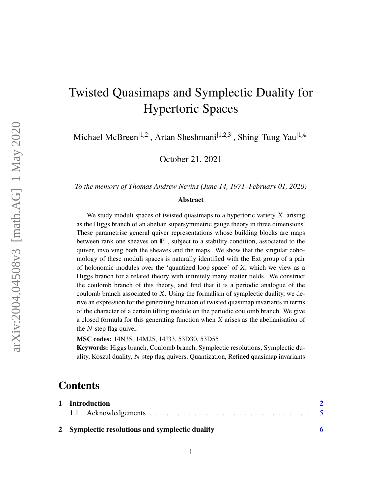# Twisted Quasimaps and Symplectic Duality for Hypertoric Spaces

Michael McBreen<sup>[1,2]</sup>, Artan Sheshmani<sup>[1,2,3]</sup>, Shing-Tung Yau<sup>[1,4]</sup>

October 21, 2021

*To the memory of Thomas Andrew Nevins (June 14, 1971–February 01, 2020)*

#### Abstract

We study moduli spaces of twisted quasimaps to a hypertoric variety *X*, arising as the Higgs branch of an abelian supersymmetric gauge theory in three dimensions. These parametrise general quiver representations whose building blocks are maps between rank one sheaves on **P**<sup>1</sup> , subject to a stability condition, associated to the quiver, involving both the sheaves and the maps. We show that the singular cohomology of these moduli spaces is naturally identified with the Ext group of a pair of holonomic modules over the 'quantized loop space' of *X*, which we view as a Higgs branch for a related theory with infinitely many matter fields. We construct the coulomb branch of this theory, and find that it is a periodic analogue of the coulomb branch associated to *X*. Using the formalism of symplectic duality, we derive an expression for the generating function of twisted quasimap invariants in terms of the character of a certain tilting module on the periodic coulomb branch. We give a closed formula for this generating function when *X* arises as the abelianisation of the *N*-step flag quiver.

MSC codes: 14N35, 14M25, 14J33, 53D30, 53D55

Keywords: Higgs branch, Coulomb branch, Symplectic resolutions, Symplectic duality, Koszul duality, *N*-step flag quivers, Quantization, Refined quasimap invariants

# **Contents**

| 1 Introduction                                  |  |
|-------------------------------------------------|--|
|                                                 |  |
| 2 Symplectic resolutions and symplectic duality |  |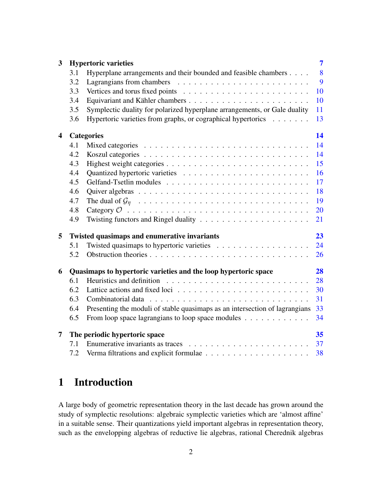| 3                       |     | <b>Hypertoric varieties</b>                                                            | $\overline{7}$ |
|-------------------------|-----|----------------------------------------------------------------------------------------|----------------|
|                         | 3.1 | Hyperplane arrangements and their bounded and feasible chambers                        | 8              |
|                         | 3.2 |                                                                                        | 9              |
|                         | 3.3 |                                                                                        | 10             |
|                         | 3.4 |                                                                                        | 10             |
|                         | 3.5 | Symplectic duality for polarized hyperplane arrangements, or Gale duality              | 11             |
|                         | 3.6 | Hypertoric varieties from graphs, or cographical hypertorics                           | 13             |
| $\overline{\mathbf{4}}$ |     | <b>Categories</b>                                                                      | 14             |
|                         | 4.1 |                                                                                        | 14             |
|                         | 4.2 |                                                                                        | 14             |
|                         | 4.3 |                                                                                        | 15             |
|                         | 4.4 |                                                                                        | 16             |
|                         | 4.5 |                                                                                        | 17             |
|                         | 4.6 |                                                                                        | 18             |
|                         | 4.7 |                                                                                        | 19             |
|                         | 4.8 |                                                                                        | 20             |
|                         | 4.9 | Twisting functors and Ringel duality $\dots \dots \dots \dots \dots \dots \dots \dots$ | 21             |
| 5                       |     | Twisted quasimaps and enumerative invariants                                           | 23             |
|                         | 5.1 |                                                                                        | 24             |
|                         | 5.2 |                                                                                        | 26             |
| 6                       |     | Quasimaps to hypertoric varieties and the loop hypertoric space                        | 28             |
|                         | 6.1 |                                                                                        | 28             |
|                         | 6.2 |                                                                                        | 30             |
|                         | 6.3 |                                                                                        | 31             |
|                         | 6.4 | Presenting the moduli of stable quasimaps as an intersection of lagrangians            | 33             |
|                         | 6.5 | From loop space lagrangians to loop space modules                                      | 34             |
| $\overline{7}$          |     | The periodic hypertoric space                                                          | 35             |
|                         | 7.1 |                                                                                        | 37             |
|                         | 7.2 |                                                                                        | 38             |
|                         |     |                                                                                        |                |

# <span id="page-1-0"></span>1 Introduction

A large body of geometric representation theory in the last decade has grown around the study of symplectic resolutions: algebraic symplectic varieties which are 'almost affine' in a suitable sense. Their quantizations yield important algebras in representation theory, such as the envelopping algebras of reductive lie algebras, rational Cherednik algebras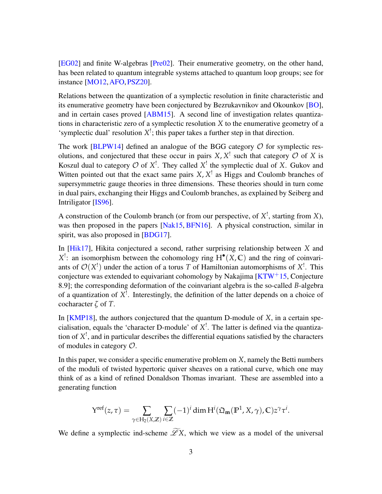[\[EG02\]](#page-43-0) and finite W-algebras [\[Pre02\]](#page-44-0). Their enumerative geometry, on the other hand, has been related to quantum integrable systems attached to quantum loop groups; see for instance [\[MO12,](#page-44-1)[AFO,](#page-41-0)[PSZ20\]](#page-44-2).

Relations between the quantization of a symplectic resolution in finite characteristic and its enumerative geometry have been conjectured by Bezrukavnikov and Okounkov [\[BO\]](#page-42-0), and in certain cases proved [\[ABM15\]](#page-41-1). A second line of investigation relates quantizations in characteristic zero of a symplectic resolution *X* to the enumerative geometry of a 'symplectic dual' resolution  $X^!$ ; this paper takes a further step in that direction.

The work [\[BLPW14\]](#page-42-1) defined an analogue of the BGG category  $O$  for symplectic resolutions, and conjectured that these occur in pairs  $X$ ,  $X^!$  such that category  $O$  of  $X$  is Koszul dual to category  $\mathcal{O}$  of  $X^!$ . They called  $X^!$  the symplectic dual of X. Gukov and Witten pointed out that the exact same pairs  $X$ ,  $X^!$  as Higgs and Coulomb branches of supersymmetric gauge theories in three dimensions. These theories should in turn come in dual pairs, exchanging their Higgs and Coulomb branches, as explained by Seiberg and Intriligator [\[IS96\]](#page-43-1).

A construction of the Coulomb branch (or from our perspective, of *X* ! , starting from *X*), was then proposed in the papers [\[Nak15,](#page-44-3) [BFN16\]](#page-42-2). A physical construction, similar in spirit, was also proposed in [\[BDG17\]](#page-41-2).

In [\[Hik17\]](#page-43-2), Hikita conjectured a second, rather surprising relationship between *X* and  $X^!$ : an isomorphism between the cohomology ring  $H^{\bullet}(X, \mathbb{C})$  and the ring of coinvariants of  $\mathcal{O}(X^!)$  under the action of a torus T of Hamiltonian automorphisms of  $X^!$ . This conjecture was extended to equivariant cohomology by Nakajima  $KTW^+15$ , Conjecture 8.9]; the corresponding deformation of the coinvariant algebra is the so-called *B*-algebra of a quantization of *X* ! . Interestingly, the definition of the latter depends on a choice of cocharacter *ζ* of *T*.

In [\[KMP18\]](#page-43-4), the authors conjectured that the quantum D-module of *X*, in a certain specialisation, equals the 'character D-module' of *X* ! . The latter is defined via the quantization of *X* ! , and in particular describes the differential equations satisfied by the characters of modules in category  $\mathcal{O}$ .

In this paper, we consider a specific enumerative problem on *X*, namely the Betti numbers of the moduli of twisted hypertoric quiver sheaves on a rational curve, which one may think of as a kind of refined Donaldson Thomas invariant. These are assembled into a generating function

$$
Y^{ref}(z,\tau)=\sum_{\gamma\in H_2(X,\mathbb{Z})}\sum_{i\in\mathbb{Z}}(-1)^i\dim H^i(\mathfrak{Q}_{\mathbf{m}}(\mathbb{P}^1,X,\gamma),\mathbb{C})z^{\gamma}\tau^i.
$$

We define a symplectic ind-scheme  $\widetilde{\mathscr{L}}X$ , which we view as a model of the universal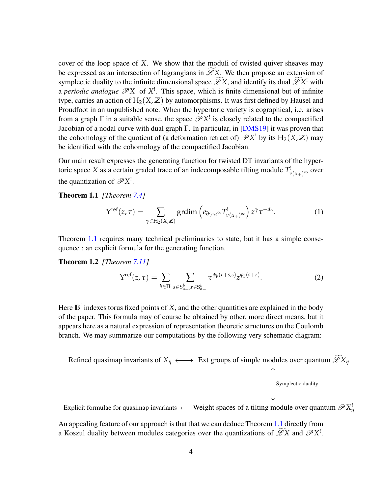cover of the loop space of *X*. We show that the moduli of twisted quiver sheaves may be expressed as an intersection of lagrangians in  $\widetilde{\mathscr{L}}X$ . We then propose an extension of symplectic duality to the infinite dimensional space  $\mathscr{L}X$ , and identify its dual  $\mathscr{L}X^!$  with a *periodic analogue*  $\mathscr{P}X^!$  of  $X^!$ . This space, which is finite dimensional but of infinite type, carries an action of  $H_2(X, \mathbb{Z})$  by automorphisms. It was first defined by Hausel and Proudfoot in an unpublished note. When the hypertoric variety is cographical, i.e. arises from a graph  $\Gamma$  in a suitable sense, the space  $\mathscr{P}X^!$  is closely related to the compactified Jacobian of a nodal curve with dual graph  $\Gamma$ . In particular, in [\[DMS19\]](#page-43-5) it was proven that the cohomology of the quotient of (a deformation retract of)  $\mathscr{P}X^!$  by its  $H_2(X,\mathbb{Z})$  may be identified with the cohomology of the compactified Jacobian.

Our main result expresses the generating function for twisted DT invariants of the hypertoric space *X* as a certain graded trace of an indecomposable tilting module  $T^!_{\nu(\alpha_+)^{\infty}}$  over the quantization of  $\mathscr{P}X^!$ .

<span id="page-3-0"></span>Theorem 1.1 *[Theorem [7.4\]](#page-37-1)*

$$
Y^{\text{ref}}(z,\tau) = \sum_{\gamma \in H_2(X,\mathbb{Z})} \text{grdim}\left(e_{\partial \gamma \cdot \alpha^{\infty}_-} T^!_{\nu(\alpha_+)^{\infty}}\right) z^{\gamma} \tau^{-d_{\gamma}}.
$$
 (1)

Theorem [1.1](#page-3-0) requires many technical preliminaries to state, but it has a simple consequence : an explicit formula for the generating function.

Theorem 1.2 *[Theorem [7.11\]](#page-39-0)*

$$
Y^{\text{ref}}(z,\tau) = \sum_{b \in \mathbb{B}^!} \sum_{s \in S_{\alpha_+}^b, r \in S_{\alpha_-}^b} \tau^{\psi_b(r+s,s)} z^{\phi_b(s+r)}.
$$
 (2)

Here **B**! indexes torus fixed points of *X*, and the other quantities are explained in the body of the paper. This formula may of course be obtained by other, more direct means, but it appears here as a natural expression of representation theoretic structures on the Coulomb branch. We may summarize our computations by the following very schematic diagram:

Refined quasimap invariants of  $X_\eta \longleftrightarrow$  Ext groups of simple modules over quantum  $\widetilde{\mathscr{L}}X_\eta$ Symplectic duality

Explicit formulae for quasimap invariants  $\leftarrow$  Weight spaces of a tilting module over quantum  $\mathscr{P}X^!_i$ *η*

An appealing feature of our approach is that that we can deduce Theorem [1.1](#page-3-0) directly from a Koszul duality between modules categories over the quantizations of  $\mathscr{L}X$  and  $\mathscr{P}X^!$ .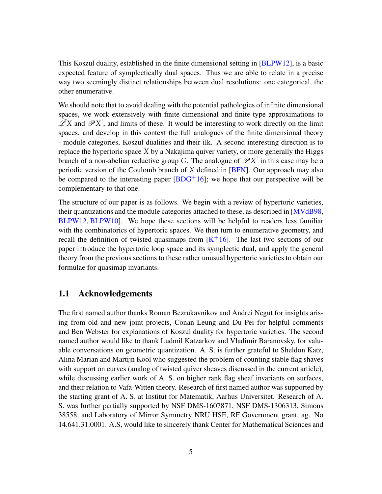This Koszul duality, established in the finite dimensional setting in [\[BLPW12\]](#page-42-3), is a basic expected feature of symplectically dual spaces. Thus we are able to relate in a precise way two seemingly distinct relationships between dual resolutions: one categorical, the other enumerative.

We should note that to avoid dealing with the potential pathologies of infinite dimensional spaces, we work extensively with finite dimensional and finite type approximations to  $\mathscr{L}X$  and  $\mathscr{P}X^!$ , and limits of these. It would be interesting to work directly on the limit spaces, and develop in this context the full analogues of the finite dimensional theory - module categories, Koszul dualities and their ilk. A second interesting direction is to replace the hypertoric space *X* by a Nakajima quiver variety, or more generally the Higgs branch of a non-abelian reductive group *G*. The analogue of  $\mathscr{P}X^!$  in this case may be a periodic version of the Coulomb branch of *X* defined in [\[BFN\]](#page-42-4). Our approach may also be compared to the interesting paper  $[BDG^+16]$  $[BDG^+16]$ ; we hope that our perspective will be complementary to that one.

The structure of our paper is as follows. We begin with a review of hypertoric varieties, their quantizations and the module categories attached to these, as described in [\[MVdB98,](#page-44-4) [BLPW12,](#page-42-3) [BLPW10\]](#page-42-5). We hope these sections will be helpful to readers less familiar with the combinatorics of hypertoric spaces. We then turn to enumerative geometry, and recall the definition of twisted quasimaps from  $[K^+16]$  $[K^+16]$ . The last two sections of our paper introduce the hypertoric loop space and its symplectic dual, and apply the general theory from the previous sections to these rather unusual hypertoric varieties to obtain our formulae for quasimap invariants.

### <span id="page-4-0"></span>1.1 Acknowledgements

The first named author thanks Roman Bezrukavnikov and Andrei Negut for insights arising from old and new joint projects, Conan Leung and Du Pei for helpful comments and Ben Webster for explanations of Koszul duality for hypertoric varieties. The second named author would like to thank Ludmil Katzarkov and Vladimir Baranovsky, for valuable conversations on geometric quantization. A. S. is further grateful to Sheldon Katz, Alina Marian and Martijn Kool who suggested the problem of counting stable flag shaves with support on curves (analog of twisted quiver sheaves discussed in the current article), while discussing earlier work of A. S. on higher rank flag sheaf invariants on surfaces, and their relation to Vafa-Witten theory. Research of first named author was supported by the starting grant of A. S. at Institut for Matematik, Aarhus Universitet. Research of A. S. was further partially supported by NSF DMS-1607871, NSF DMS-1306313, Simons 38558, and Laboratory of Mirror Symmetry NRU HSE, RF Government grant, ag. No 14.641.31.0001. A.S, would like to sincerely thank Center for Mathematical Sciences and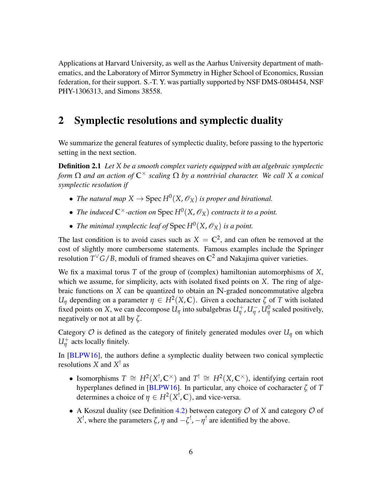Applications at Harvard University, as well as the Aarhus University department of mathematics, and the Laboratory of Mirror Symmetry in Higher School of Economics, Russian federation, for their support. S.-T. Y. was partially supported by NSF DMS-0804454, NSF PHY-1306313, and Simons 38558.

## <span id="page-5-0"></span>2 Symplectic resolutions and symplectic duality

We summarize the general features of symplectic duality, before passing to the hypertoric setting in the next section.

Definition 2.1 *Let X be a smooth complex variety equipped with an algebraic symplectic form* Ω *and an action of* **C**<sup>×</sup> *scaling* Ω *by a nontrivial character. We call X a conical symplectic resolution if*

- *The natural map*  $X \to \text{Spec } H^0(X, \mathscr{O}_X)$  *is proper and birational.*
- *The induced*  $\mathbb{C}^{\times}$ -action on Spec  $H^{0}(X,\mathscr{O}_{X})$  contracts it to a point.
- *The minimal symplectic leaf of* Spec  $H^0(X, \mathscr{O}_X)$  *is a point.*

The last condition is to avoid cases such as  $X = \mathbb{C}^2$ , and can often be removed at the cost of slightly more cumbersome statements. Famous examples include the Springer resolution  $T^{\vee}G/B$ , moduli of framed sheaves on  $\mathbb{C}^2$  and Nakajima quiver varieties.

We fix a maximal torus *T* of the group of (complex) hamiltonian automorphisms of *X*, which we assume, for simplicity, acts with isolated fixed points on *X*. The ring of algebraic functions on *X* can be quantized to obtain an **N**-graded noncommutative algebra *U<sub>I</sub>* depending on a parameter  $\eta \in H^2(X, \mathbb{C})$ . Given a cocharacter  $\zeta$  of *T* with isolated fixed points on *X*, we can decompose  $U_{\eta}$  into subalgebras  $U_{\eta}^+$ ,  $U_{\eta}^-$ ,  $U_{\eta}^0$  scaled positively, negatively or not at all by *ζ*.

Category  $O$  is defined as the category of finitely generated modules over  $U_{\eta}$  on which  $U^{\dagger}_{\eta}$  acts locally finitely.

In [\[BLPW16\]](#page-42-6), the authors define a symplectic duality between two conical symplectic resolutions *X* and *X* ! as

- Isomorphisms  $T \cong H^2(X^!, \mathbb{C}^\times)$  and  $T^! \cong H^2(X, \mathbb{C}^\times)$ , identifying certain root hyperplanes defined in [\[BLPW16\]](#page-42-6). In particular, any choice of cocharacter *ζ* of *T* determines a choice of  $\eta \in H^2(X^!, \mathbb{C})$ , and vice-versa.
- A Koszul duality (see Definition [4.2\)](#page-14-1) between category  $\mathcal O$  of *X* and category  $\mathcal O$  of *X*<sup>1</sup>, where the parameters *ζ*, *η* and  $-\zeta$ <sup>1</sup>,  $-\eta$ <sup>1</sup> are identified by the above.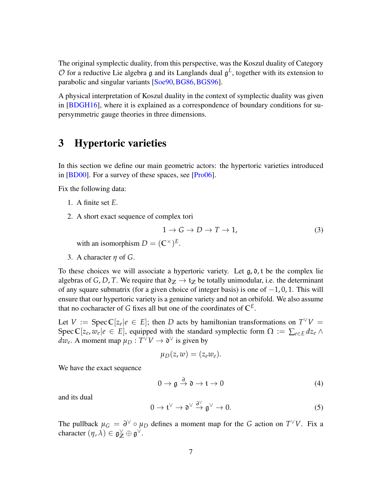The original symplectic duality, from this perspective, was the Koszul duality of Category  $\mathcal O$  for a reductive Lie algebra g and its Langlands dual  $\mathfrak g^L$ , together with its extension to parabolic and singular variants [\[Soe90,](#page-44-5) [BG86,](#page-42-7) [BGS96\]](#page-42-8).

A physical interpretation of Koszul duality in the context of symplectic duality was given in [\[BDGH16\]](#page-41-4), where it is explained as a correspondence of boundary conditions for supersymmetric gauge theories in three dimensions.

# <span id="page-6-0"></span>3 Hypertoric varieties

In this section we define our main geometric actors: the hypertoric varieties introduced in [\[BD00\]](#page-41-5). For a survey of these spaces, see [\[Pro06\]](#page-44-6).

Fix the following data:

- 1. A finite set *E*.
- 2. A short exact sequence of complex tori

<span id="page-6-1"></span>
$$
1 \to G \to D \to T \to 1,\tag{3}
$$

with an isomorphism  $D = (\mathbb{C}^\times)^E$ .

3. A character *η* of *G*.

To these choices we will associate a hypertoric variety. Let  $g, \delta, t$  be the complex lie algebras of *G*, *D*, *T*. We require that  $\mathfrak{d}_\mathbb{Z} \to \mathfrak{t}_\mathbb{Z}$  be totally unimodular, i.e. the determinant of any square submatrix (for a given choice of integer basis) is one of  $-1, 0, 1$ . This will ensure that our hypertoric variety is a genuine variety and not an orbifold. We also assume that no cocharacter of *G* fixes all but one of the coordinates of  $\mathbb{C}^E$ .

Let  $V := \text{Spec } \mathbb{C}[z_e | e \in E]$ ; then *D* acts by hamiltonian transformations on  $T^{\vee}V =$ Spec  $\mathbb{C}[z_e, w_e | e \in E]$ , equipped with the standard symplectic form  $\Omega := \sum_{e \in E} dz_e \wedge$  $dw_e$ . A moment map  $\mu_D: T^{\vee}V \to \mathfrak{d}^{\vee}$  is given by

$$
\mu_D(z,w)=(z_e w_e).
$$

We have the exact sequence

$$
0 \to \mathfrak{g} \xrightarrow{\partial} \mathfrak{d} \to \mathfrak{t} \to 0 \tag{4}
$$

and its dual

$$
0 \to \mathfrak{t}^{\vee} \to \mathfrak{d}^{\vee} \xrightarrow{\partial^{\vee}} \mathfrak{g}^{\vee} \to 0.
$$
 (5)

The pullback  $\mu_G = \partial^{\vee} \circ \mu_D$  defines a moment map for the *G* action on  $T^{\vee}V$ . Fix a character  $(\eta, \lambda) \in \mathfrak{g}_{\mathbb{Z}}^{\vee} \oplus \mathfrak{g}^{\vee}$ .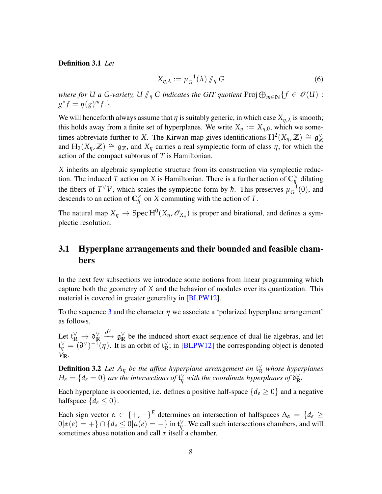#### Definition 3.1 *Let*

<span id="page-7-1"></span>
$$
X_{\eta,\lambda} := \mu_G^{-1}(\lambda) \, \text{ and } \, G \tag{6}
$$

*where for U a G-variety, U*  $\parallel$ <sub>*η*</sub> *G indicates the GIT quotient* Proj $\bigoplus_{m\in\mathbb{N}}\{f \in \mathcal{O}(U) :$ <br> $\int_{0}^{*} f_{m}(x)dx$  $g^* f = \eta(g)^m f$ .

We will henceforth always assume that  $\eta$  is suitably generic, in which case  $X_{\eta,\lambda}$  is smooth; this holds away from a finite set of hyperplanes. We write  $X_{\eta} := X_{\eta,0}$ , which we sometimes abbreviate further to *X*. The Kirwan map gives identifications  $H^2(X_\eta, \mathbb{Z}) \cong \mathfrak{g}_{\mathbb{Z}}^{\vee}$ **Z** and  $H_2(X_\eta, \mathbb{Z}) \cong \mathfrak{g}_{\mathbb{Z}}$ , and  $X_\eta$  carries a real symplectic form of class  $\eta$ , for which the action of the compact subtorus of *T* is Hamiltonian.

*X* inherits an algebraic symplectic structure from its construction via symplectic reduction. The induced *T* action on *X* is Hamiltonian. There is a further action of  $\mathbb{C}_h^{\times}$  $\frac{\lambda}{h}$  dilating the fibers of  $T^{\vee}V$ , which scales the symplectic form by  $\hbar$ . This preserves  $\mu_G^{-1}$  $G^{-1}(0)$ , and descends to an action of  $\mathbb{C}_{h}^{\times}$  $\frac{\alpha}{\hbar}$  on *X* commuting with the action of *T*.

The natural map  $X_{\eta} \to \text{Spec } H^0(X_{\eta}, \mathscr{O}_{X_{\eta}})$  is proper and birational, and defines a symplectic resolution.

### <span id="page-7-0"></span>3.1 Hyperplane arrangements and their bounded and feasible chambers

In the next few subsections we introduce some notions from linear programming which capture both the geometry of *X* and the behavior of modules over its quantization. This material is covered in greater generality in [\[BLPW12\]](#page-42-3).

To the sequence [3](#page-6-1) and the character *η* we associate a 'polarized hyperplane arrangement' as follows.

Let  $\mathfrak{t}_\mathbb{R}^\vee \to \mathfrak{d}_\mathbb{R}^\vee$ **R** ∂<sup>∨</sup> g<sub>⊠</sub>  $\frac{R}{R}$  be the induced short exact sequence of dual lie algebras, and let  $f_{\eta}^{\vee} = (\partial^{\vee})^{-1}(\eta)$ . It is an orbit of  $f_{\mathbb{R}}^{\vee}$  $\frac{1}{R}$ ; in [\[BLPW12\]](#page-42-3) the corresponding object is denoted *V***R**.

**Definition 3.2** Let  $A_{\eta}$  be the affine hyperplane arrangement on  $\mathfrak{t}_R^{\vee}$  whose hyperplanes  $H_e = \{d_e = 0\}$  are the intersections of  $\mathfrak{t}_\eta^\vee$  with the coordinate hyperplanes of  $\mathfrak{d}_\mathbb{R}^\vee$ **R** *.*

Each hyperplane is cooriented, i.e. defines a positive half-space  ${d_e \ge 0}$  and a negative halfspace  $\{d_e \leq 0\}$ .

<span id="page-7-2"></span>Each sign vector  $\alpha \in \{+, -\}^E$  determines an intersection of halfspaces  $\Delta_{\alpha} = \{d_e \geq$  $0|α(e) = +} ∩ {d_e ≤ 0|α(e) = -}$  in  $tη^V$  $\not\parallel$ . We call such intersections chambers, and will sometimes abuse notation and call *α* itself a chamber.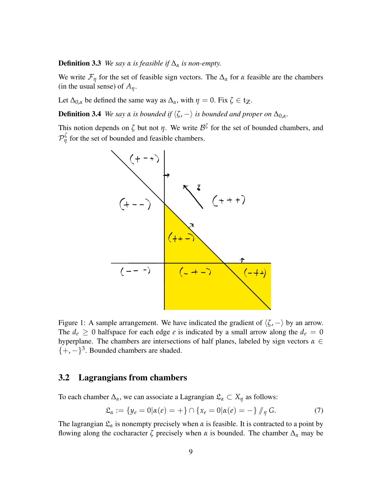**Definition 3.3** *We say*  $\alpha$  *is feasible if*  $\Delta_{\alpha}$  *is non-empty.* 

We write  $\mathcal{F}_{\eta}$  for the set of feasible sign vectors. The  $\Delta_{\alpha}$  for  $\alpha$  feasible are the chambers (in the usual sense) of  $A_n$ .

Let  $\Delta_{0,\alpha}$  be defined the same way as  $\Delta_{\alpha}$ , with  $\eta = 0$ . Fix  $\zeta \in \mathfrak{t}_{\mathbb{Z}}$ .

**Definition 3.4** *We say*  $\alpha$  *is bounded if*  $\langle \zeta, -\rangle$  *is bounded and proper on*  $\Delta_{0,\alpha}$ *.* 

This notion depends on  $\zeta$  but not  $\eta$ . We write  $\mathcal{B}^{\zeta}$  for the set of bounded chambers, and  $\mathcal{P}_{\eta}^{\zeta}$  for the set of bounded and feasible chambers.

<span id="page-8-1"></span>

Figure 1: A sample arrangement. We have indicated the gradient of  $\langle \zeta, -\rangle$  by an arrow. The  $d_e \geq 0$  halfspace for each edge *e* is indicated by a small arrow along the  $d_e = 0$ hyperplane. The chambers are intersections of half planes, labeled by sign vectors *α* ∈  $\{+,-\}^3$ . Bounded chambers are shaded.

### <span id="page-8-0"></span>3.2 Lagrangians from chambers

To each chamber  $\Delta_{\alpha}$ , we can associate a Lagrangian  $\mathfrak{L}_{\alpha} \subset X_{\eta}$  as follows:

<span id="page-8-2"></span>
$$
\mathfrak{L}_{\alpha} := \{ y_e = 0 | \alpha(e) = + \} \cap \{ x_e = 0 | \alpha(e) = - \} / \eta \, G. \tag{7}
$$

The lagrangian  $\mathfrak{L}_{\alpha}$  is nonempty precisely when  $\alpha$  is feasible. It is contracted to a point by flowing along the cocharacter  $\zeta$  precisely when  $\alpha$  is bounded. The chamber  $\Delta_{\alpha}$  may be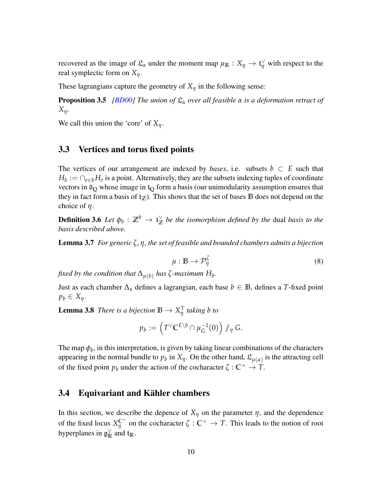recovered as the image of  $\mathfrak{L}_{\alpha}$  under the moment map  $\mu_{\mathbb{R}} : X_{\eta} \to \mathfrak{t}_{\eta}^{\vee}$  with respect to the real symplectic form on *Xη*.

These lagrangians capture the geometry of  $X_\eta$  in the following sense:

Proposition 3.5 *[\[BD00\]](#page-41-5) The union of* L*<sup>α</sup> over all feasible α is a deformation retract of Xη.*

We call this union the 'core' of *Xη*.

### <span id="page-9-0"></span>3.3 Vertices and torus fixed points

The vertices of our arrangement are indexed by *bases*, i.e. subsets  $b \subset E$  such that  $H_b := \bigcap_{e \in b} H_e$  is a point. Alternatively, they are the subsets indexing tuples of coordinate vectors in  $\mathfrak{d}_Q$  whose image in  $\mathfrak{t}_Q$  form a basis (our unimodularity assumption ensures that they in fact form a basis of  $t_{\mathbb{Z}}$ ). This shows that the set of bases **B** does not depend on the choice of *η*.

Definition 3.6  $\,$   $Let \ \phi_b: \mathbb{Z}^b \rightarrow \mathfrak{t}_{\mathbb{Z}}^\vee$ **Z** *be the isomorphism defined by the* dual *basis to the basis described above.*

<span id="page-9-3"></span><span id="page-9-2"></span>Lemma 3.7 *For generic ζ*, *η, the set of feasible and bounded chambers admits a bijection*

$$
\mu: \mathbb{B} \to \mathcal{P}_{\eta}^{\zeta} \tag{8}
$$

*fixed by the condition that*  $\Delta_{\mu(b)}$  *has*  $\zeta$ *-maximum*  $H_b$ .

Just as each chamber  $\Delta_{\alpha}$  defines a lagrangian, each base  $b \in \mathbb{B}$ , defines a *T*-fixed point  $p_b \in X_n$ .

**Lemma 3.8** *There is a bijection*  $\mathbb{B} \to X_n^T$ *η taking b to*

$$
p_b := \left(T^{\vee} \mathbb{C}^{E \setminus b} \cap \mu_G^{-1}(0)\right) / \! \! /_{\eta} G.
$$

The map  $\phi_b$ , in this interpretation, is given by taking linear combinations of the characters appearing in the normal bundle to  $p_b$  in  $X_\eta$ . On the other hand,  $\mathfrak{L}_{\mu(\alpha)}$  is the attracting cell of the fixed point  $p_b$  under the action of the cocharacter  $\zeta : \mathbb{C}^\times \to \mathbb{T}$ .

### <span id="page-9-1"></span>3.4 Equivariant and Kähler chambers

In this section, we describe the depence of  $X_\eta$  on the parameter  $\eta$ , and the dependence of the fixed locus  $X_{\eta}^{\mathbb{C}^{\times}}$  on the cocharacter  $\zeta : \mathbb{C}^{\times} \to T$ . This leads to the notion of root hyperplanes in  $\mathfrak{g}^{\vee}_{\mathbb{R}}$  $\frac{v}{R}$  and  $t_R$ .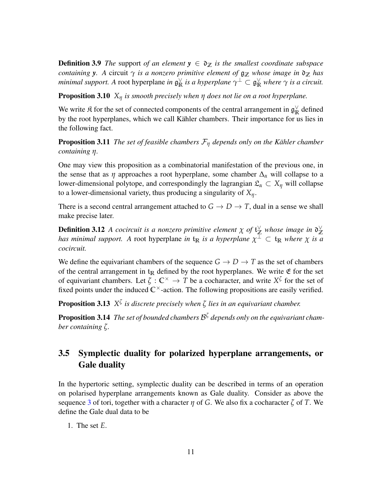**Definition 3.9** *The* support *of an element*  $y \in \mathfrak{d}_\mathbb{Z}$  *is the smallest coordinate subspace containing y*. A circuit  $\gamma$  *is a nonzero primitive element of*  $\mathfrak{g}_{\mathbb{Z}}$  *whose image in*  $\mathfrak{d}_{\mathbb{Z}}$  *has minimal support.* A root hyperplane *in*  $\mathfrak{g}^{\vee}_{\mathbb{R}}$  $\frac{1}{\mathbb{R}}$  *is a hyperplane*  $\gamma^{\perp} \subset \mathfrak{g}^{\vee}_{\mathbb{R}}$  *where*  $\gamma$  *is a circuit.* 

Proposition 3.10 *X<sup>η</sup> is smooth precisely when η does not lie on a root hyperplane.*

We write  $\mathfrak K$  for the set of connected components of the central arrangement in  $\mathfrak g_{\mathbb R}^{\vee}$  $\frac{v}{R}$  defined by the root hyperplanes, which we call Kähler chambers. Their importance for us lies in the following fact.

**Proposition 3.11** *The set of feasible chambers*  $\mathcal{F}_{\eta}$  *depends only on the Kähler chamber containing η.*

One may view this proposition as a combinatorial manifestation of the previous one, in the sense that as  $\eta$  approaches a root hyperplane, some chamber  $\Delta_{\alpha}$  will collapse to a lower-dimensional polytope, and correspondingly the lagrangian  $\mathfrak{L}_{\alpha} \subset X_{\eta}$  will collapse to a lower-dimensional variety, thus producing a singularity of *Xη*.

There is a second central arrangement attached to  $G \to D \to T$ , dual in a sense we shall make precise later.

**Definition 3.12** A cocircuit is a nonzero primitive element  $\chi$  of  $\mathfrak{t}_{\mathbb{Z}}^{\vee}$  whose image in  $\mathfrak{d}_{\mathbb{Z}}^{\vee}$ **Z** *has minimal support.* A root hyperplane *in*  $t_{\mathbb{R}}$  *is a hyperplane*  $\chi^{\perp} \subset t_{\mathbb{R}}$  *where*  $\chi$  *is a cocircuit.*

We define the equivariant chambers of the sequence  $G \to D \to T$  as the set of chambers of the central arrangement in  $t_R$  defined by the root hyperplanes. We write  $\mathfrak E$  for the set of equivariant chambers. Let  $\zeta : \mathbb{C}^{\times} \to T$  be a cocharacter, and write  $X^{\zeta}$  for the set of fixed points under the induced  $\mathbb{C}^{\times}$ -action. The following propositions are easily verified.

Proposition 3.13 *X ζ is discrete precisely when ζ lies in an equivariant chamber.*

Proposition 3.14 *The set of bounded chambers* B *ζ depends only on the equivariant chamber containing ζ.*

## <span id="page-10-0"></span>3.5 Symplectic duality for polarized hyperplane arrangements, or Gale duality

In the hypertoric setting, symplectic duality can be described in terms of an operation on polarised hyperplane arrangements known as Gale duality. Consider as above the sequence [3](#page-6-1) of tori, together with a character *η* of *G*. We also fix a cocharacter *ζ* of *T*. We define the Gale dual data to be

1. The set *E*.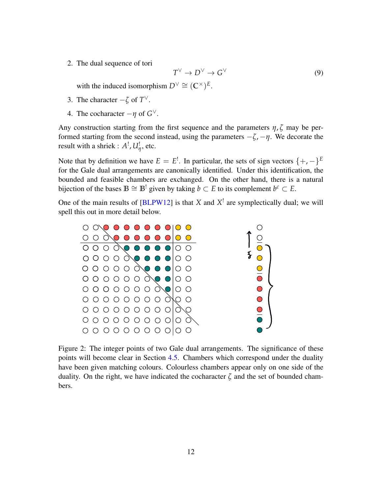2. The dual sequence of tori

<span id="page-11-0"></span>
$$
T^{\vee} \to D^{\vee} \to G^{\vee} \tag{9}
$$

with the induced isomorphism  $D^{\vee} \cong (\mathbb{C}^{\times})^E$ .

- 3. The character  $-\zeta$  of  $T^{\vee}$ .
- 4. The cocharacter  $-\eta$  of  $G^{\vee}$ .

Any construction starting from the first sequence and the parameters *η*, *ζ* may be performed starting from the second instead, using the parameters  $-\zeta$ ,  $-\eta$ . We decorate the result with a shriek :  $A^!$ ,  $U^!_{\eta}$ , etc.

Note that by definition we have  $E = E^!$ . In particular, the sets of sign vectors  $\{+,-\}^E$ for the Gale dual arrangements are canonically identified. Under this identification, the bounded and feasible chambers are exchanged. On the other hand, there is a natural bijection of the bases  $\mathbb{B} \cong \mathbb{B}^!$  given by taking  $b \subset E$  to its complement  $b^c \subset E$ .

One of the main results of  $[BLPW12]$  is that *X* and  $X^!$  are symplectically dual; we will spell this out in more detail below.



Figure 2: The integer points of two Gale dual arrangements. The significance of these points will become clear in Section [4.5.](#page-16-0) Chambers which correspond under the duality have been given matching colours. Colourless chambers appear only on one side of the duality. On the right, we have indicated the cocharacter *ζ* and the set of bounded chambers.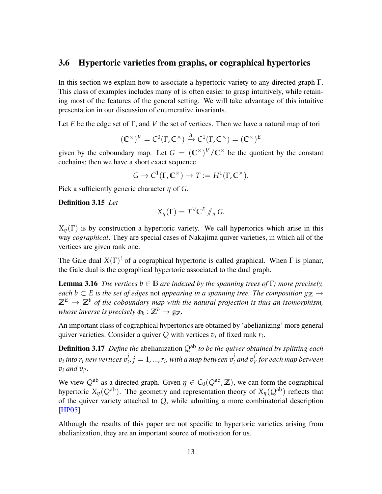### <span id="page-12-0"></span>3.6 Hypertoric varieties from graphs, or cographical hypertorics

In this section we explain how to associate a hypertoric variety to any directed graph Γ. This class of examples includes many of is often easier to grasp intuitively, while retaining most of the features of the general setting. We will take advantage of this intuitive presentation in our discussion of enumerative invariants.

Let *E* be the edge set of Γ, and *V* the set of vertices. Then we have a natural map of tori

$$
(\mathbb{C}^{\times})^V = \mathcal{C}^0(\Gamma, \mathbb{C}^{\times}) \xrightarrow{\partial} \mathcal{C}^1(\Gamma, \mathbb{C}^{\times}) = (\mathbb{C}^{\times})^E
$$

given by the coboundary map. Let  $G = (\mathbb{C}^{\times})^V / \mathbb{C}^{\times}$  be the quotient by the constant cochains; then we have a short exact sequence

$$
G \to C^1(\Gamma, \mathbb{C}^\times) \to T := H^1(\Gamma, \mathbb{C}^\times).
$$

Pick a sufficiently generic character *η* of *G*.

Definition 3.15 *Let*

$$
X_{\eta}(\Gamma)=T^{\vee} \mathbb{C}^{E} \mathbb{N}_{\eta} \ G.
$$

 $X_{\eta}(\Gamma)$  is by construction a hypertoric variety. We call hypertorics which arise in this way *cographical*. They are special cases of Nakajima quiver varieties, in which all of the vertices are given rank one.

The Gale dual  $X(\Gamma)^!$  of a cographical hypertoric is called graphical. When  $\Gamma$  is planar, the Gale dual is the cographical hypertoric associated to the dual graph.

<span id="page-12-1"></span>**Lemma 3.16** *The vertices*  $b \in \mathbb{B}$  *are indexed by the spanning trees of* Γ*; more precisely, each b* ⊂ *E is the set of edges* not *appearing in a spanning tree. The composition*  $g_{\mathbb{Z}}$  →  $\mathbb{Z}^E \to \mathbb{Z}^b$  of the coboundary map with the natural projection is thus an isomorphism, whose inverse is precisely  $\phi_b: \mathbb{Z}^b \to \mathfrak{g}_{\mathbb{Z}}.$ 

An important class of cographical hypertorics are obtained by 'abelianizing' more general quiver varieties. Consider a quiver  $Q$  with vertices  $v_i$  of fixed rank  $r_i$ .

Definition 3.17 *Define the* abelianization *Q*ab *to be the quiver obtained by splitting each*  $v_i$  into  $r_i$  new vertices  $v_i^j$  $j \neq j = 1,...,r_i$ , with a map between  $v_i^j$  $\int_{i}^{j}$  and  $v_{i'}^{j'}$ *i* 0 *for each map between*  $v_i$  *and*  $v_{i'}$ .

We view  $Q^{ab}$  as a directed graph. Given  $\eta \in C_0(Q^{ab}, \mathbb{Z})$ , we can form the cographical hypertoric  $X_\eta(Q^{ab})$ . The geometry and representation theory of  $X_\eta(Q^{ab})$  reflects that of the quiver variety attached to *Q*, while admitting a more combinatorial description [\[HP05\]](#page-43-7).

Although the results of this paper are not specific to hypertoric varieties arising from abelianization, they are an important source of motivation for us.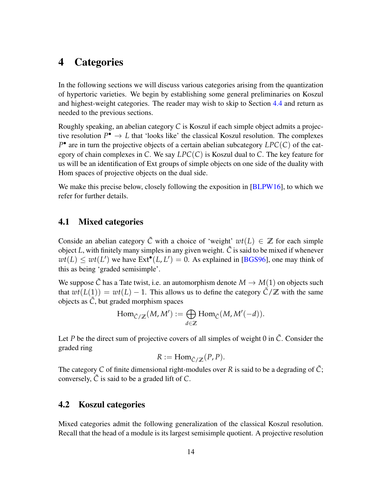# <span id="page-13-0"></span>4 Categories

In the following sections we will discuss various categories arising from the quantization of hypertoric varieties. We begin by establishing some general preliminaries on Koszul and highest-weight categories. The reader may wish to skip to Section [4.4](#page-15-0) and return as needed to the previous sections.

Roughly speaking, an abelian category *C* is Koszul if each simple object admits a projective resolution  $P^{\bullet} \to L$  that 'looks like' the classical Koszul resolution. The complexes *P* • are in turn the projective objects of a certain abelian subcategory *LPC*(*C*) of the category of chain complexes in *C*. We say *LPC*(*C*) is Koszul dual to *C*. The key feature for us will be an identification of Ext groups of simple objects on one side of the duality with Hom spaces of projective objects on the dual side.

We make this precise below, closely following the exposition in [\[BLPW16\]](#page-42-6), to which we refer for further details.

### <span id="page-13-1"></span>4.1 Mixed categories

Conside an abelian category  $\tilde{C}$  with a choice of 'weight'  $wt(L) \in \mathbb{Z}$  for each simple object  $L$ , with finitely many simples in any given weight.  $\tilde{C}$  is said to be mixed if whenever  $wt(L) \le wt(L')$  we have  $Ext^{\bullet}(L, L') = 0$ . As explained in [\[BGS96\]](#page-42-8), one may think of this as being 'graded semisimple'.

We suppose  $\tilde{C}$  has a Tate twist, i.e. an automorphism denote  $M \to M(1)$  on objects such that  $wt(L(1)) = wt(L) - 1$ . This allows us to define the category  $\tilde{C}/\mathbb{Z}$  with the same objects as  $\tilde{C}$ , but graded morphism spaces

$$
\mathrm{Hom}_{\tilde{C}/\mathbb{Z}}(M,M'):=\bigoplus_{d\in\mathbb{Z}}\mathrm{Hom}_{\tilde{C}}(M,M'(-d)).
$$

Let *P* be the direct sum of projective covers of all simples of weight 0 in  $\tilde{C}$ . Consider the graded ring

$$
R := \mathrm{Hom}_{\tilde{C}/\mathbb{Z}}(P, P).
$$

The category C of finite dimensional right-modules over R is said to be a degrading of  $\tilde{C}$ ; conversely,  $\tilde{C}$  is said to be a graded lift of  $C$ .

### <span id="page-13-2"></span>4.2 Koszul categories

Mixed categories admit the following generalization of the classical Koszul resolution. Recall that the head of a module is its largest semisimple quotient. A projective resolution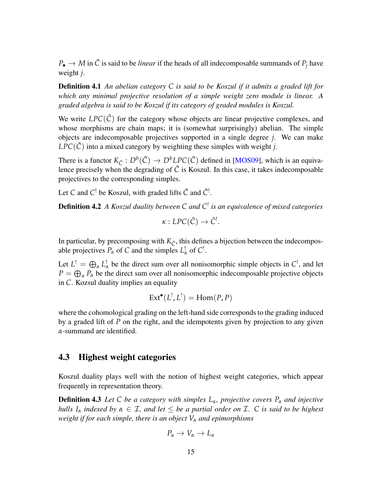$P_{\bullet} \rightarrow M$  in  $\tilde{C}$  is said to be *linear* if the heads of all indecomposable summands of  $P_j$  have weight *j*.

Definition 4.1 *An abelian category C is said to be Koszul if it admits a graded lift for which any minimal projective resolution of a simple weight zero module is linear. A graded algebra is said to be Koszul if its category of graded modules is Koszul.*

We write  $LPC(\tilde{C})$  for the category whose objects are linear projective complexes, and whose morphisms are chain maps; it is (somewhat surprisingly) abelian. The simple objects are indecomposable projectives supported in a single degree *j*. We can make  $LPC(\tilde{C})$  into a mixed category by weighting these simples with weight *j*.

There is a functor  $K_{\tilde{C}}: D^b(\tilde{C}) \to D^bLPC(\tilde{C})$  defined in [\[MOS09\]](#page-44-7), which is an equivalence precisely when the degrading of  $\tilde{C}$  is Koszul. In this case, it takes indecomposable projectives to the corresponding simples.

Let *C* and *C*<sup>!</sup> be Koszul, with graded lifts  $\tilde{C}$  and  $\tilde{C}$ <sup>1</sup>.

Definition 4.2 *A Koszul duality between C and C* ! *is an equivalence of mixed categories*

<span id="page-14-1"></span>
$$
\kappa: LPC(\tilde{C}) \to \tilde{C}^!.
$$

In particular, by precomposing with  $K_{\tilde{C}}$ , this defines a bijection between the indecomposable projectives  $P_\alpha$  of C and the simples  $L^!_\alpha$  of  $C^!$ .

Let  $L^! = \bigoplus_{\alpha} L^!_{\alpha}$  be the direct sum over all nonisomorphic simple objects in  $C^!$ , and let  $P = \bigoplus_{\alpha} P_{\alpha}$  be the direct sum over all nonisomorphic indecomposable projective objects in *C*. Kozsul duality implies an equality

$$
Ext^{\bullet}(L^!, L^!)=Hom(P, P)
$$

where the cohomological grading on the left-hand side corresponds to the grading induced by a graded lift of *P* on the right, and the idempotents given by projection to any given *α*-summand are identified.

### <span id="page-14-0"></span>4.3 Highest weight categories

Koszul duality plays well with the notion of highest weight categories, which appear frequently in representation theory.

Definition 4.3 *Let C be a category with simples Lα, projective covers P<sup>α</sup> and injective hulls*  $I_\alpha$  *indexed by*  $\alpha \in \mathcal{I}$ *, and let*  $\leq$  *be a partial order on*  $\mathcal{I}$ *.*  $\subset$  *is said to be highest weight if for each simple, there is an object V<sup>α</sup> and epimorphisms*

$$
P_{\alpha} \to V_{\alpha} \to L_{\alpha}
$$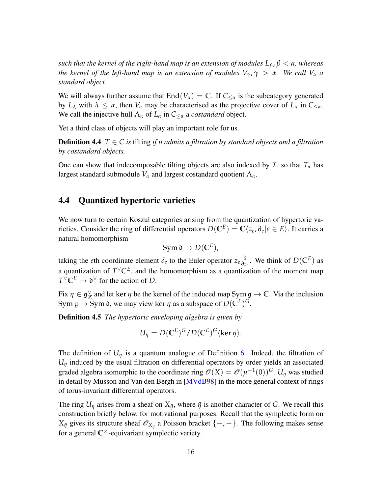*such that the kernel of the right-hand map is an extension of modules*  $L_{\beta}$ ,  $\beta < \alpha$ , whereas *the kernel of the left-hand map is an extension of modules*  $V_{\gamma}$ ,  $\gamma > \alpha$ . We call  $V_{\alpha}$  *a standard object.*

We will always further assume that  $\text{End}(V_\alpha) = \mathbb{C}$ . If  $C_{\leq \alpha}$  is the subcategory generated by  $L_\lambda$  with  $\lambda \leq \alpha$ , then  $V_\alpha$  may be characterised as the projective cover of  $L_\alpha$  in  $C_{\leq \alpha}$ . We call the injective hull  $\Lambda_{\alpha}$  of  $L_{\alpha}$  in  $C_{\leq \alpha}$  a *costandard* object.

Yet a third class of objects will play an important role for us.

**Definition 4.4**  $T \in \mathbb{C}$  *is* tilting *if it admits a filtration by standard objects and a filtration by costandard objects.*

One can show that indecomposable tilting objects are also indexed by  $\mathcal{I}$ , so that  $T_{\alpha}$  has largest standard submodule  $V_\alpha$  and largest costandard quotient  $\Lambda_\alpha$ .

### <span id="page-15-0"></span>4.4 Quantized hypertoric varieties

We now turn to certain Koszul categories arising from the quantization of hypertoric varieties. Consider the ring of differential operators  $D(\mathbb{C}^E) = \mathbb{C}\langle z_e, \partial_e | e \in E \rangle$ . It carries a natural homomorphism

$$
Sym \mathfrak{d} \to D(\mathbb{C}^E),
$$

taking the *e*th coordinate element  $\delta_e$  to the Euler operator  $z_e \frac{\partial}{\partial z}$  $\frac{\partial}{\partial z_e}$ . We think of *D*(**C**<sup>*E*</sup>) as a quantization of  $T^{\vee} \mathbb{C}^E$ , and the homomorphism as a quantization of the moment map  $T^{\vee} \mathbb{C}^E \to \mathfrak{d}^{\vee}$  for the action of *D*.

Fix  $η \in \mathfrak{g}^{\vee}_{\mathbb{Z}}$  $\chi$  and let ker  $\eta$  be the kernel of the induced map  $\text{Sym}_{\mathfrak{A}} \to \mathbb{C}$ . Via the inclusion Sym  $\mathfrak{g} \to \text{Sym} \mathfrak{d}$ , we may view ker  $\eta$  as a subspace of  $D(\mathbb{C}^E)^G$ .

Definition 4.5 *The hypertoric enveloping algebra is given by*

$$
U_{\eta} = D(\mathbb{C}^{E})^{G}/D(\mathbb{C}^{E})^{G} \langle \ker \eta \rangle.
$$

The definition of  $U_{\eta}$  is a quantum analogue of Definition [6.](#page-7-1) Indeed, the filtration of *U<sup>η</sup>* induced by the usual filtration on differential operators by order yields an associated graded algebra isomorphic to the coordinate ring  $\mathscr{O}(X) = \mathscr{O}(\mu^{-1}(0))^G$ .  $U_{\eta}$  was studied in detail by Musson and Van den Bergh in [\[MVdB98\]](#page-44-4) in the more general context of rings of torus-invariant differential operators.

The ring  $U_{\eta}$  arises from a sheaf on  $X_{\bar{\eta}}$ , where  $\bar{\eta}$  is another character of *G*. We recall this construction briefly below, for motivational purposes. Recall that the symplectic form on  $X_{\bar{\eta}}$  gives its structure sheaf  $\mathscr{O}_{X_{\bar{\eta}}}$  a Poisson bracket {-, -}. The following makes sense for a general  $\mathbb{C}^{\times}$ -equivariant symplectic variety.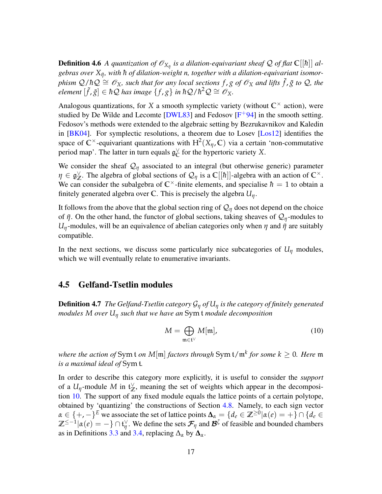**Definition 4.6** A quantization of  $\mathscr{O}_{X_{\bar{\eta}}}$  is a dilation-equivariant sheaf Q of flat  $\mathbb{C}[[\hbar]]$  algebras over  $X_{\bar{\eta}},$  with  $\hbar$  of dilation-weight n, together with a dilation-equivariant isomor $p$ *hism*  $Q/\hbar Q \cong O_X$ *, such that for any local sections*  $f$  ,  $g$  *of*  $O_X$  *and lifts*  $\tilde{f}$  ,  $\tilde{g}$  *to*  $Q$ , *the*  $\mathcal{E}$  *element*  $[\tilde{f}, \tilde{g}] \in \hbar \mathcal{Q}$  *has image*  $\{f, g\}$  *in*  $\hbar \mathcal{Q}$  / $\hbar^2 \mathcal{Q} \cong \mathcal{O}_X$ .

Analogous quantizations, for *X* a smooth symplectic variety (without  $\mathbb{C}^{\times}$  action), were studied by De Wilde and Lecomte  $[DWL83]$  and Fedosov  $[F+94]$  $[F+94]$  in the smooth setting. Fedosov's methods were extended to the algebraic setting by Bezrukavnikov and Kaledin in [\[BK04\]](#page-42-9). For symplectic resolutions, a theorem due to Losev [\[Los12\]](#page-44-8) identifies the space of  $\mathbb{C}^{\times}$ -equivariant quantizations with  $H^2(X_{\eta}, \mathbb{C})$  via a certain 'non-commutative period map'. The latter in turn equals  $\mathfrak{g}_C^{\vee}$  $\int_{\mathbb{C}}^{\vee}$  for the hypertoric variety *X*.

We consider the sheaf  $\mathcal{Q}_\eta$  associated to an integral (but otherwise generic) parameter *η* ∈ g ∨  $\chi$ <sup>2</sup>. The algebra of global sections of  $\mathcal{Q}_\eta$  is a **C**[[*h*]]-algebra with an action of **C**<sup>×</sup>. We can consider the subalgebra of  $\mathbb{C}^{\times}$ -finite elements, and specialise  $\hbar = 1$  to obtain a finitely generated algebra over **C**. This is precisely the algebra *Uη*.

It follows from the above that the global section ring of  $\mathcal{Q}_\eta$  does not depend on the choice of *η*¯. On the other hand, the functor of global sections, taking sheaves of Q*η*-modules to *U<sub>η</sub>*-modules, will be an equivalence of abelian categories only when  $\eta$  and  $\bar{\eta}$  are suitably compatible.

In the next sections, we discuss some particularly nice subcategories of  $U_\eta$  modules, which we will eventually relate to enumerative invariants.

### <span id="page-16-0"></span>4.5 Gelfand-Tsetlin modules

Definition 4.7 *The Gelfand-Tsetlin category* G*<sup>η</sup> of U<sup>η</sup> is the category of finitely generated modules M over U<sup>η</sup> such that we have an* Sym t *module decomposition*

<span id="page-16-1"></span>
$$
M = \bigoplus_{\mathfrak{m} \in \mathfrak{t}^{\vee}} M[\mathfrak{m}], \tag{10}
$$

*where the action of* Sym t *on M*[m] *factors through* Sym t/m*<sup>k</sup> for some k* ≥ 0*. Here* m *is a maximal ideal of* Sym t*.*

In order to describe this category more explicitly, it is useful to consider the *support* of a  $U_{\eta}$ -module M in  $\mathfrak{t}_{\mathbb{Z}}^{\vee}$  $\chi$ , meaning the set of weights which appear in the decomposition [10.](#page-16-1) The support of any fixed module equals the lattice points of a certain polytope, obtained by 'quantizing' the constructions of Section [4.8.](#page-19-0) Namely, to each sign vector  $\alpha \in \{+, -\}^E$  we associate the set of lattice points  $\Delta_{\alpha} = \{d_e \in \mathbb{Z}^{\geq 0} | \alpha(e) = +\} \cap \{d_e \in \mathbb{Z}^{\geq 0} | \alpha(e) = +\}$  $\mathbb{Z}^{\leq -1} | \alpha(e) = - \} \cap \mathfrak{t}_\eta^\vee$  $\gamma$ . We define the sets  $\mathcal{F}_{\eta}$  and  $\mathcal{B}^{\zeta}$  of feasible and bounded chambers as in Definitions [3.3](#page-7-2) and [3.4,](#page-8-1) replacing  $\Delta_{\alpha}$  by  $\Delta_{\alpha}$ .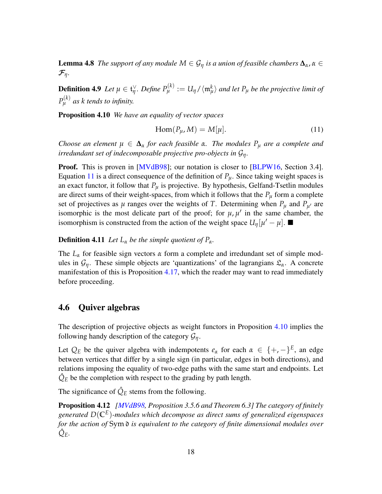**Lemma 4.8** *The support of any module*  $M \in \mathcal{G}_{\eta}$  *is a union of feasible chambers*  $\Delta_{\alpha}$ ,  $\alpha \in$  $\mathcal{F}_{\eta}$ *.* 

**Definition 4.9** *Let*  $\mu \in \mathfrak{t}_{\eta}^{\vee}$  $P^{(\kappa)}_{\mu}$  :=  $U_{\eta}/\langle \mathfrak{m}^k_{\mu} \rangle$  and let  $P_{\mu}$  be the projective limit of  $P_{\mu}^{(k)}$  as  $k$  *tends to infinity.* 

<span id="page-17-2"></span>Proposition 4.10 *We have an equality of vector spaces*

<span id="page-17-1"></span>
$$
Hom(P_{\mu}, M) = M[\mu].
$$
\n(11)

*Choose an element*  $\mu \in \Delta_{\alpha}$  *for each feasible*  $\alpha$ *. The modules*  $P_{\mu}$  *are a complete and irredundant set of indecomposable projective pro-objects in* G*η.*

Proof. This is proven in [\[MVdB98\]](#page-44-4); our notation is closer to [\[BLPW16,](#page-42-6) Section 3.4]. Equation [11](#page-17-1) is a direct consequence of the definition of  $P_\mu$ . Since taking weight spaces is an exact functor, it follow that  $P_\mu$  is projective. By hypothesis, Gelfand-Tsetlin modules are direct sums of their weight-spaces, from which it follows that the  $P_\mu$  form a complete set of projectives as  $\mu$  ranges over the weights of *T*. Determining when  $P_{\mu}$  and  $P_{\mu'}$  are isomorphic is the most delicate part of the proof; for  $\mu$ ,  $\mu'$  in the same chamber, the isomorphism is constructed from the action of the weight space  $U_{\eta}[\mu'-\mu]$ .

### **Definition 4.11** *Let*  $L_{\alpha}$  *be the simple quotient of*  $P_{\alpha}$ *.*

The *L<sup>α</sup>* for feasible sign vectors *α* form a complete and irredundant set of simple modules in  $\mathcal{G}_{\eta}$ . These simple objects are 'quantizations' of the lagrangians  $\mathcal{L}_{\alpha}$ . A concrete manifestation of this is Proposition [4.17,](#page-19-1) which the reader may want to read immediately before proceeding.

### <span id="page-17-0"></span>4.6 Quiver algebras

The description of projective objects as weight functors in Proposition [4.10](#page-17-2) implies the following handy description of the category  $G_\eta$ .

Let  $Q_E$  be the quiver algebra with indempotents  $e_\alpha$  for each  $\alpha \in \{+,-\}^E$ , an edge between vertices that differ by a single sign (in particular, edges in both directions), and relations imposing the equality of two-edge paths with the same start and endpoints. Let  $\hat{Q}_E$  be the completion with respect to the grading by path length.

<span id="page-17-3"></span>The significance of  $\hat{Q}_E$  stems from the following.

Proposition 4.12 *[\[MVdB98,](#page-44-4) Proposition 3.5.6 and Theorem 6.3] The category of finitely generated D*(**C***<sup>E</sup>* )*-modules which decompose as direct sums of generalized eigenspaces for the action of* Sym d *is equivalent to the category of finite dimensional modules over Q*ˆ *E.*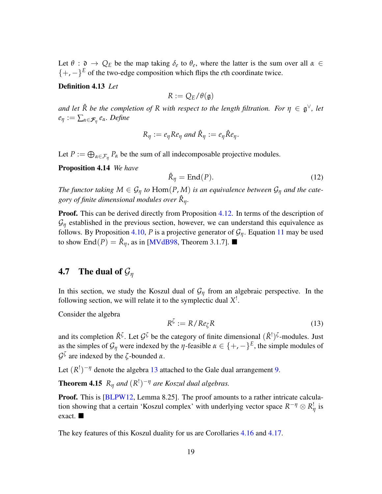Let  $\theta$  :  $\mathfrak{d} \to Q_E$  be the map taking  $\delta_e$  to  $\theta_e$ , where the latter is the sum over all  $\alpha \in$ {+, −}*<sup>E</sup>* of the two-edge composition which flips the *e*th coordinate twice.

### Definition 4.13 *Let*

$$
R:=Q_E/\theta(\mathfrak{g})
$$

*and let*  $\hat{R}$  *be the completion of*  $R$  *with respect to the length filtration. For*  $\eta \in \mathfrak{g}^{\vee}$ *, let e<sup>η</sup>* := ∑*α*∈F*<sup>η</sup> eα. Define*

$$
R_{\eta} := e_{\eta} Re_{\eta} \text{ and } \hat{R}_{\eta} := e_{\eta} \hat{R} e_{\eta}.
$$

Let  $P := \bigoplus_{\alpha \in \mathcal{F}_{\eta}} P_{\alpha}$  be the sum of all indecomposable projective modules.

Proposition 4.14 *We have*

$$
\hat{\mathcal{R}}_{\eta} = \text{End}(P). \tag{12}
$$

*The functor taking*  $M \in \mathcal{G}_{\eta}$  *to*  $Hom(P, M)$  *is an equivalence between*  $\mathcal{G}_{\eta}$  *and the category of finite dimensional modules over R*ˆ *η.*

**Proof.** This can be derived directly from Proposition [4.12.](#page-17-3) In terms of the description of  $G_n$  established in the previous section, however, we can understand this equivalence as follows. By Proposition [4.10,](#page-17-2) *P* is a projective generator of  $\mathcal{G}_{\eta}$ . Equation [11](#page-17-1) may be used to show End $(P) = \hat{R}_{\eta}$ , as in [\[MVdB98,](#page-44-4) Theorem 3.1.7].

### <span id="page-18-0"></span>4.7 The dual of G*<sup>η</sup>*

In this section, we study the Koszul dual of  $G_\eta$  from an algebraic perspective. In the following section, we will relate it to the symplectic dual *X* ! .

Consider the algebra

<span id="page-18-1"></span>
$$
R^{\zeta} := R / Re_{\zeta} R \tag{13}
$$

and its completion  $\hat{R}^{\zeta}$ . Let  $\mathcal{G}^{\zeta}$  be the category of finite dimensional  $(\hat{R}^!)^{\zeta}$ -modules. Just as the simples of  $\mathcal{G}_{\eta}$  were indexed by the *η*-feasible  $\alpha \in \{+,-\}^E$ , the simple modules of  $\mathcal{G}^{\zeta}$  are indexed by the  $\zeta$ -bounded *α*.

Let  $(R^!)^{-\eta}$  denote the algebra [13](#page-18-1) attached to the Gale dual arrangement [9.](#page-11-0)

**Theorem 4.15**  $R_{\eta}$  and  $(R^!)^{-\eta}$  are Koszul dual algebras.

**Proof.** This is [\[BLPW12,](#page-42-3) Lemma 8.25]. The proof amounts to a rather intricate calculation showing that a certain 'Koszul complex' with underlying vector space  $R^{-\eta} \otimes R^!$ *η* is exact.

<span id="page-18-2"></span>The key features of this Koszul duality for us are Corollaries [4.16](#page-18-2) and [4.17.](#page-19-1)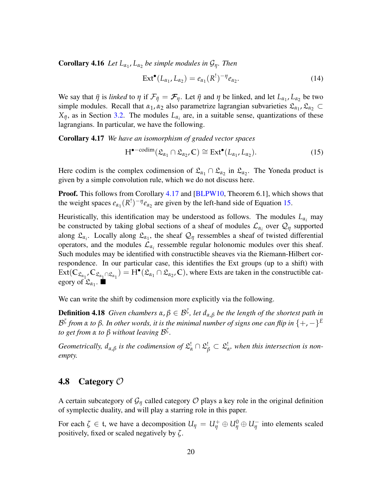**Corollary 4.16** *Let*  $L_{\alpha_1}$ ,  $L_{\alpha_2}$  *be simple modules in*  $\mathcal{G}_{\eta}$ *. Then* 

<span id="page-19-3"></span><span id="page-19-2"></span><span id="page-19-1"></span>
$$
\operatorname{Ext}^{\bullet}(L_{\alpha_1}, L_{\alpha_2}) = e_{\alpha_1}(R!)^{-\eta} e_{\alpha_2}.
$$
 (14)

We say that  $\bar{\eta}$  is *linked* to  $\eta$  if  $\mathcal{F}_{\bar{\eta}} = \mathcal{F}_{\eta}$ . Let  $\bar{\eta}$  and  $\eta$  be linked, and let  $L_{\alpha_1}, L_{\alpha_2}$  be two simple modules. Recall that  $\alpha_1$ ,  $\alpha_2$  also parametrize lagrangian subvarieties  $\mathfrak{L}_{\alpha_1}$ ,  $\mathfrak{L}_{\alpha_2}$   $\subset$  $X_{\bar{\eta}}$ , as in Section [3.2.](#page-8-0) The modules  $L_{\alpha_i}$  are, in a suitable sense, quantizations of these lagrangians. In particular, we have the following.

Corollary 4.17 *We have an isomorphism of graded vector spaces*

<span id="page-19-4"></span>
$$
H^{\bullet - \text{codim}}(\mathfrak{L}_{\alpha_1} \cap \mathfrak{L}_{\alpha_2}, \mathbb{C}) \cong \text{Ext}^{\bullet}(L_{\alpha_1}, L_{\alpha_2}). \tag{15}
$$

Here codim is the complex codimension of  $\mathfrak{L}_{\alpha_1} \cap \mathfrak{L}_{\alpha_2}$  in  $\mathfrak{L}_{\alpha_2}$ . The Yoneda product is given by a simple convolution rule, which we do not discuss here.

Proof. This follows from Corollary [4.17](#page-19-1) and [\[BLPW10,](#page-42-5) Theorem 6.1], which shows that the weight spaces  $e_{\alpha_1}(R^!)^{-\eta}e_{\alpha_2}$  are given by the left-hand side of Equation [15.](#page-19-2)

Heuristically, this identification may be understood as follows. The modules  $L_{\alpha_i}$  may be constructed by taking global sections of a sheaf of modules  $\mathcal{L}_{\alpha_i}$  over  $\mathcal{Q}_{\eta}$  supported along  $\mathfrak{L}_{\alpha_i}$ . Locally along  $\mathfrak{L}_{\alpha_1}$ , the sheaf  $\mathcal{Q}_\eta$  ressembles a sheaf of twisted differential operators, and the modules  $\mathcal{L}_{\alpha_i}$  ressemble regular holonomic modules over this sheaf. Such modules may be identified with constructible sheaves via the Riemann-Hilbert correspondence. In our particular case, this identifies the Ext groups (up to a shift) with  $\text{Ext}(\mathbb{C}_{\mathfrak{L}_{\alpha_1}}\mathbb{C}_{\mathfrak{L}_{\alpha_1}\cap\mathfrak{L}_{\alpha_1}})=H^{\bullet}(\mathfrak{L}_{\alpha_1}\cap\mathfrak{L}_{\alpha_2},\mathbb{C}),$  where Exts are taken in the constructible category of  $\mathfrak{L}_{\alpha_1}$ .

We can write the shift by codimension more explicitly via the following.

**Definition 4.18** *Given chambers*  $\alpha$ ,  $\beta \in \mathcal{B}^{\zeta}$ , *let*  $d_{\alpha,\beta}$  *be the length of the shortest path in* B *ζ from α to β. In other words, it is the minimal number of signs one can flip in* {+, −}*<sup>E</sup> to get from*  $\alpha$  *to*  $\beta$  *without leaving*  $\mathcal{B}^{\zeta}$ *.* 

*Geometrically,*  $d_{\alpha,\beta}$  *is the codimension of*  $\mathfrak{L}^!_\alpha \cap \mathfrak{L}^!_\beta \subset \mathfrak{L}^!_\beta$ *α , when this intersection is nonempty.*

### <span id="page-19-0"></span>4.8 Category  $\mathcal O$

A certain subcategory of  $G_n$  called category  $O$  plays a key role in the original definition of symplectic duality, and will play a starring role in this paper.

For each  $\zeta \in \mathfrak{t}$ , we have a decomposition  $U_{\eta} = U_{\eta}^+ \oplus U_{\eta}^0 \oplus U_{\eta}^-$  into elements scaled positively, fixed or scaled negatively by *ζ*.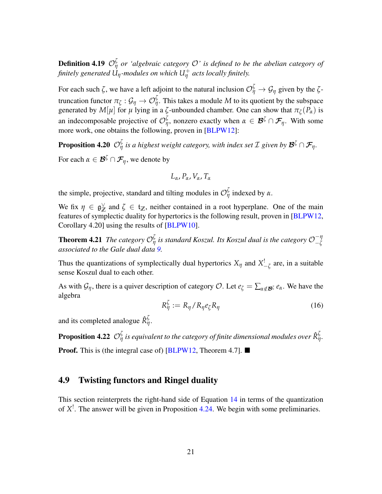**Definition 4.19**  $\mathcal{O}_{\eta}^{\zeta}$  *or 'algebraic category*  $\mathcal{O}'$  *is defined to be the abelian category of finitely generated Uη-modules on which U*<sup>+</sup> *<sup>η</sup> acts locally finitely.*

For each such  $\zeta$ , we have a left adjoint to the natural inclusion  $\mathcal{O}^{\zeta}_{\eta} \to \mathcal{G}_{\eta}$  given by the  $\zeta$ truncation functor  $\pi_\zeta: \mathcal{G}_\eta \to \mathcal{O}^\zeta_\eta.$  This takes a module  $M$  to its quotient by the subspace generated by  $M[\mu]$  for  $\mu$  lying in a  $\zeta$ -unbounded chamber. One can show that  $\pi_{\zeta}(P_{\alpha})$  is an indecomposable projective of  $\mathcal{O}_\eta^{\zeta}$ , nonzero exactly when  $\alpha \in \mathcal{B}^{\zeta} \cap \mathcal{F}_{\eta}$ . With some more work, one obtains the following, proven in [\[BLPW12\]](#page-42-3):

**Proposition 4.20**  $\mathcal{O}_\eta^{\zeta}$  is a highest weight category, with index set  $\mathcal{I}$  given by  $\mathcal{B}^{\zeta} \cap \mathcal{F}_{\eta}$ . For each  $\alpha \in \mathcal{B}^{\zeta} \cap \mathcal{F}_{\eta}$ , we denote by

$$
L_{\alpha}, P_{\alpha}, V_{\alpha}, T_{\alpha}
$$

the simple, projective, standard and tilting modules in  $\mathcal{O}_{\eta}^{\zeta}$  indexed by  $\alpha$ .

We fix  $\eta \in \mathfrak{g}_{\mathbb{Z}}^{\vee}$  $\chi$  and  $\zeta \in \mathfrak{t}_{\mathbb{Z}}$ , neither contained in a root hyperplane. One of the main features of symplectic duality for hypertorics is the following result, proven in [\[BLPW12,](#page-42-3) Corollary 4.20] using the results of [\[BLPW10\]](#page-42-5).

**Theorem 4.21** The category  $\mathcal{O}_{\eta}^{\zeta}$  is standard Koszul. Its Koszul dual is the category  $\mathcal{O}_{-\zeta}^{-\eta}$ −*ζ associated to the Gale dual data [9.](#page-11-0)*

Thus the quantizations of symplectically dual hypertorics  $X_{\eta}$  and  $X_{-\zeta}^{\dagger}$  are, in a suitable sense Koszul dual to each other.

As with  $G_\eta$ , there is a quiver description of category O. Let  $e_\zeta = \sum_{\alpha \notin \mathcal{B}^\zeta} e_\alpha$ . We have the algebra

$$
R_{\eta}^{\zeta} := R_{\eta} / R_{\eta} e_{\zeta} R_{\eta}
$$
 (16)

and its completed analogue  $\hat{R}_{\eta}^{\zeta}$ .

**Proposition 4.22**  $\mathcal{O}_\eta^{\zeta}$  is equivalent to the category of finite dimensional modules over  $\hat{\mathsf{R}}_\eta^{\zeta}$ .

**Proof.** This is (the integral case of) [\[BLPW12,](#page-42-3) Theorem 4.7].

### <span id="page-20-0"></span>4.9 Twisting functors and Ringel duality

This section reinterprets the right-hand side of Equation [14](#page-19-3) in terms of the quantization of *X* ! . The answer will be given in Proposition [4.24.](#page-21-0) We begin with some preliminaries.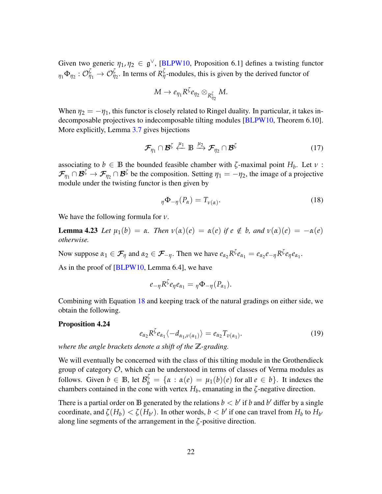Given two generic  $\eta_1, \eta_2 \in \mathfrak{g}^{\vee}$ , [\[BLPW10,](#page-42-5) Proposition 6.1] defines a twisting functor  $\eta_1 \Phi_{\eta_2} : \mathcal{O}_{\eta_1}^{\zeta} \to \mathcal{O}_{\eta_2}^{\zeta}$ . In terms of  $R_{\eta}^{\zeta}$ -modules, this is given by the derived functor of

$$
M\to e_{\eta_1}R^{\zeta}e_{\eta_2}\otimes_{R^{\zeta}_{\eta_2}}M.
$$

When  $\eta_2 = -\eta_1$ , this functor is closely related to Ringel duality. In particular, it takes indecomposable projectives to indecomposable tilting modules [\[BLPW10,](#page-42-5) Theorem 6.10]. More explicitly, Lemma [3.7](#page-9-2) gives bijections

<span id="page-21-2"></span>
$$
\mathcal{F}_{\eta_1} \cap \mathcal{B}^{\zeta} \stackrel{\mu_1}{\leftarrow} \mathbb{B} \stackrel{\mu_2}{\longrightarrow} \mathcal{F}_{\eta_2} \cap \mathcal{B}^{\zeta}
$$
 (17)

associating to  $b \in \mathbb{B}$  the bounded feasible chamber with  $\zeta$ -maximal point  $H_b$ . Let  $\nu$ :  $\mathcal{F}_{\eta_1} \cap \mathcal{B}^{\zeta} \to \mathcal{F}_{\eta_2} \cap \mathcal{B}^{\zeta}$  be the composition. Setting  $\eta_1 = -\eta_2$ , the image of a projective module under the twisting functor is then given by

<span id="page-21-1"></span>
$$
\eta \Phi_{-\eta}(P_{\alpha}) = T_{\nu(\alpha)}.
$$
\n(18)

We have the following formula for *ν*.

**Lemma 4.23** Let  $\mu_1(b) = \alpha$ . Then  $v(\alpha)(e) = \alpha(e)$  if  $e \notin b$ , and  $v(\alpha)(e) = -\alpha(e)$ *otherwise.*

Now suppose  $\alpha_1 \in \mathcal{F}_\eta$  and  $\alpha_2 \in \mathcal{F}_{-\eta}$ . Then we have  $e_{\alpha_2} R^\zeta e_{\alpha_1} = e_{\alpha_2} e_{-\eta} R^\zeta e_{\eta} e_{\alpha_1}$ .

As in the proof of  $[BLPW10, Lemma 6.4]$  $[BLPW10, Lemma 6.4]$ , we have

$$
e_{-\eta}R^{\zeta}e_{\eta}e_{\alpha_1}=\eta\Phi_{-\eta}(P_{\alpha_1}).
$$

Combining with Equation [18](#page-21-1) and keeping track of the natural gradings on either side, we obtain the following.

#### Proposition 4.24

<span id="page-21-0"></span>
$$
e_{\alpha_2} R^{\zeta} e_{\alpha_1} \langle -d_{\alpha_1, \nu(\alpha_1)} \rangle = e_{\alpha_2} T_{\nu(\alpha_1)}.
$$
 (19)

*where the angle brackets denote a shift of the* **Z***-grading.*

We will eventually be concerned with the class of this tilting module in the Grothendieck group of category  $\mathcal{O}$ , which can be understood in terms of classes of Verma modules as follows. Given  $b \in \mathbb{B}$ , let  $\mathcal{B}_{b}^{\zeta} = {\alpha : \alpha(e) = \mu_1(b)(e) \text{ for all } e \in b}.$  It indexes the chambers contained in the cone with vertex  $H_b$ , emanating in the  $\zeta$ -negative direction.

<span id="page-21-3"></span>There is a partial order on **B** generated by the relations  $b < b'$  if *b* and *b'* differ by a single coordinate, and  $\zeta(H_b) < \zeta(H_{b'})$ . In other words,  $b < b'$  if one can travel from  $H_b$  to  $H_{b'}$ along line segments of the arrangement in the *ζ*-positive direction.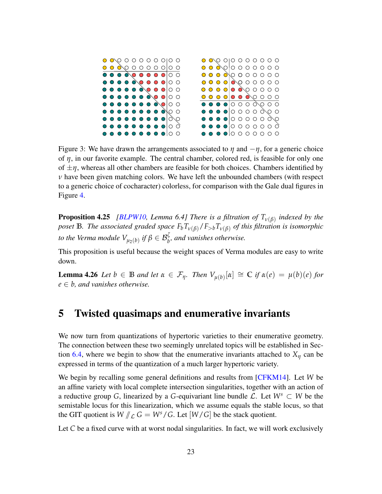

<span id="page-22-1"></span>Figure 3: We have drawn the arrangements associated to  $\eta$  and  $-\eta$ , for a generic choice of *η*, in our favorite example. The central chamber, colored red, is feasible for only one of  $\pm \eta$ , whereas all other chambers are feasible for both choices. Chambers identified by *ν* have been given matching colors. We have left the unbounded chambers (with respect to a generic choice of cocharacter) colorless, for comparison with the Gale dual figures in Figure [4.](#page-23-1)

Proposition 4.25 *[\[BLPW10,](#page-42-5) Lemma 6.4] There is a filtration of Tν*(*β*) *indexed by the poset* **B***. The associated graded space*  $F_bT_{v(\beta)}/F_{>b}T_{v(\beta)}$  *of this filtration is isomorphic to the Verma module*  $V_{\mu_2(b)}$  *if*  $\beta \in \mathcal{B}_b^{\zeta}$ *, and vanishes otherwise.* 

<span id="page-22-2"></span>This proposition is useful because the weight spaces of Verma modules are easy to write down.

**Lemma 4.26** *Let*  $b \in \mathbb{B}$  *and let*  $\alpha \in \mathcal{F}_{\eta}$ *. Then*  $V_{\mu(b)}[\alpha] \cong \mathbb{C}$  *if*  $\alpha(e) = \mu(b)(e)$  *for*  $e \in b$ , and vanishes otherwise.

## <span id="page-22-0"></span>5 Twisted quasimaps and enumerative invariants

We now turn from quantizations of hypertoric varieties to their enumerative geometry. The connection between these two seemingly unrelated topics will be established in Sec-tion [6.4,](#page-32-0) where we begin to show that the enumerative invariants attached to  $X_n$  can be expressed in terms of the quantization of a much larger hypertoric variety.

We begin by recalling some general definitions and results from [\[CFKM14\]](#page-42-10). Let *W* be an affine variety with local complete intersection singularities, together with an action of a reductive group *G*, linearized by a *G*-equivariant line bundle  $\mathcal{L}$ . Let  $W^s \subset W$  be the semistable locus for this linearization, which we assume equals the stable locus, so that the GIT quotient is  $W / \mathcal{L} G = W^s / G$ . Let  $[W / G]$  be the stack quotient.

Let *C* be a fixed curve with at worst nodal singularities. In fact, we will work exclusively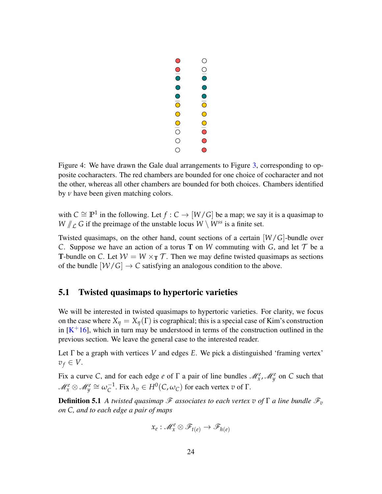

<span id="page-23-1"></span>Figure 4: We have drawn the Gale dual arrangements to Figure [3,](#page-22-1) corresponding to opposite cocharacters. The red chambers are bounded for one choice of cocharacter and not the other, whereas all other chambers are bounded for both choices. Chambers identified by *ν* have been given matching colors.

with  $C \cong \mathbb{P}^1$  in the following. Let  $f : C \to [W/G]$  be a map; we say it is a quasimap to  $W / \mathcal{L}$  *G* if the preimage of the unstable locus  $W \setminus W^{ss}$  is a finite set.

Twisted quasimaps, on the other hand, count sections of a certain [*W*/*G*]-bundle over *C*. Suppose we have an action of a torus **T** on *W* commuting with *G*, and let  $T$  be a **T**-bundle on *C*. Let  $W = W \times_T T$ . Then we may define twisted quasimaps as sections of the bundle  $[W/G] \to C$  satisfying an analogous condition to the above.

### <span id="page-23-0"></span>5.1 Twisted quasimaps to hypertoric varieties

We will be interested in twisted quasimaps to hypertoric varieties. For clarity, we focus on the case where  $X_{\eta} = X_{\eta}(\Gamma)$  is cographical; this is a special case of Kim's construction in  $[K^+16]$  $[K^+16]$ , which in turn may be understood in terms of the construction outlined in the previous section. We leave the general case to the interested reader.

Let Γ be a graph with vertices *V* and edges *E*. We pick a distinguished 'framing vertex'  $v_f \in V$ .

Fix a curve *C*, and for each edge *e* of  $\Gamma$  a pair of line bundles  $\mathcal{M}_{x}^e$ ,  $\mathcal{M}_{y}^e$  on *C* such that  $\mathscr{M}^e_x \otimes \mathscr{M}^e_y \cong \omega_C^{-1}$  $C^{-1}$ . Fix  $λ<sub>v</sub> ∈ H<sup>0</sup>(C, ω<sub>C</sub>)$  for each vertex *v* of Γ.

<span id="page-23-2"></span>**Definition 5.1** A twisted quasimap  $\mathscr F$  associates to each vertex  $v$  of  $\Gamma$  a line bundle  $\mathscr F_v$ *on C, and to each edge a pair of maps*

$$
x_e: \mathscr{M}_x^e \otimes \mathscr{F}_{t(e)} \to \mathscr{F}_{h(e)}
$$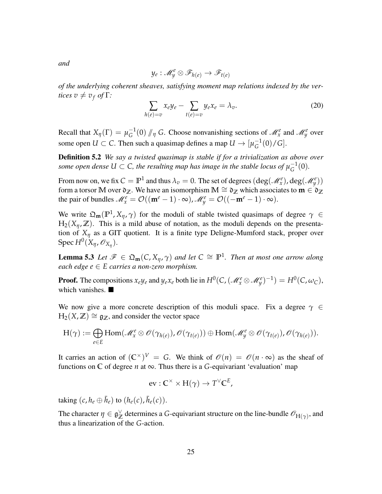*and*

$$
y_e: \mathscr{M}_y^e \otimes \mathscr{F}_{h(e)} \to \mathscr{F}_{t(e)}
$$

*of the underlying coherent sheaves, satisfying moment map relations indexed by the vertices*  $v \neq v_f$  *of*  $\Gamma$ *:* 

$$
\sum_{h(e)=v} x_e y_e - \sum_{t(e)=v} y_e x_e = \lambda_v.
$$
 (20)

Recall that  $X_{\eta}(\Gamma) = \mu_G^{-1}$  $G^{-1}(0)$  // *η G*. Choose nonvanishing sections of  $\mathcal{M}_x^e$  and  $\mathcal{M}_y^e$  over some open  $U \subset C$ . Then such a quasimap defines a map  $U \to [\mu_G^{-1}]$  $G^{-1}(0)/G$ .

Definition 5.2 *We say a twisted quasimap is stable if for a trivialization as above over some open dense*  $U \subset \mathsf{C}$ , the resulting map has image in the stable locus of  $\mu_{\mathsf{G}}^{-1}$  $G^{-1}(0)$ .

From now on, we fix  $C = \mathbb{P}^1$  and thus  $\lambda_v = 0$ . The set of degrees  $(\deg(\mathscr{M}^e_x), \deg(\mathscr{M}^e_y))$ form a torsor **M** over  $\mathfrak{d}_{\mathbb{Z}}$ . We have an isomorphism **M**  $\cong \mathfrak{d}_{\mathbb{Z}}$  which associates to  $\mathbf{m} \in \mathfrak{d}_{\mathbb{Z}}$ the pair of bundles  $\mathcal{M}_x^e = \mathcal{O}((\mathbf{m}^e - 1) \cdot \infty)$ ,  $\mathcal{M}_y^e = \mathcal{O}((-\mathbf{m}^e - 1) \cdot \infty)$ .

We write  $\Omega_{\mathbf{m}}(\mathbb{P}^1, X_{\eta}, \gamma)$  for the moduli of stable twisted quasimaps of degree  $\gamma \in$  $H_2(X_n, \mathbb{Z})$ . This is a mild abuse of notation, as the moduli depends on the presentation of  $X_{\eta}$  as a GIT quotient. It is a finite type Deligne-Mumford stack, proper over Spec *H*<sup>0</sup> (*Xη*, O*X<sup>η</sup>* ).

**Lemma 5.3** Let  $\mathscr{F} \in \mathfrak{Q}_{\mathfrak{m}}(\mathcal{C}, X_{\eta}, \gamma)$  and let  $C \cong \mathbb{P}^1$ . Then at most one arrow along *each edge e* ∈ *E carries a non-zero morphism.*

**Proof.** The compositions  $x_e y_e$  and  $y_e x_e$  both lie in  $H^0(C, (\mathcal{M}_x^e \otimes \mathcal{M}_y^e)^{-1}) = H^0(C, \omega_C)$ , which vanishes.

We now give a more concrete description of this moduli space. Fix a degree  $\gamma \in$  $H_2(X, \mathbb{Z}) \cong \mathfrak{g}_{\mathbb{Z}}$ , and consider the vector space

$$
H(\gamma) := \bigoplus_{e \in E} Hom(\mathscr{M}_x^e \otimes \mathscr{O}(\gamma_{h(e)}), \mathscr{O}(\gamma_{t(e)})) \oplus Hom(\mathscr{M}_y^e \otimes \mathscr{O}(\gamma_{t(e)}), \mathscr{O}(\gamma_{h(e)})).
$$

It carries an action of  $({\mathbb C}^{\times})^V = G$ . We think of  $\mathscr{O}(n) = \mathscr{O}(n \cdot \infty)$  as the sheaf of functions on  $\mathbb C$  of degree  $n$  at  $\infty$ . Thus there is a *G*-equivariant 'evaluation' map

<span id="page-24-0"></span>
$$
ev: \mathbb{C}^{\times} \times H(\gamma) \to T^{\vee} \mathbb{C}^{E},
$$

taking  $(c, h_e \oplus \bar{h}_e)$  to  $(h_e(c), \bar{h}_e(c))$ .

The character  $\eta \in \mathfrak{g}_{\mathbb{Z}}^{\vee}$  $\chi^{\vee}$  determines a *G*-equivariant structure on the line-bundle  $\mathscr{O}_{H(\gamma)}$ , and thus a linearization of the *G*-action.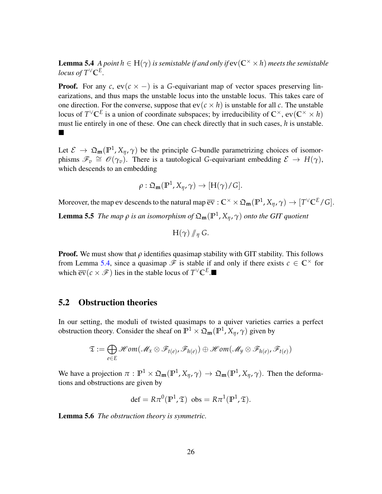**Lemma 5.4** *A point*  $h \in H(\gamma)$  *is semistable if and only if*  $ev(C^{\times} \times h)$  *meets the semistable locus of*  $T$ <sup> $\vee$ </sup> $\mathbb{C}^E$ *.* 

**Proof.** For any *c*,  $ev(c \times -)$  is a *G*-equivariant map of vector spaces preserving linearizations, and thus maps the unstable locus into the unstable locus. This takes care of one direction. For the converse, suppose that  $ev(c \times h)$  is unstable for all *c*. The unstable locus of  $T^{\vee} \mathbb{C}^E$  is a union of coordinate subspaces; by irreducibility of  $\mathbb{C}^{\times}$ ,  $ev(\mathbb{C}^{\times} \times h)$ must lie entirely in one of these. One can check directly that in such cases, *h* is unstable.  $\blacksquare$ 

Let  $\mathcal{E} \to \mathfrak{Q}_{m}(\mathbb{P}^{1}, X_{\eta}, \gamma)$  be the principle *G*-bundle parametrizing choices of isomorphisms  $\mathscr{F}_v \cong \mathscr{O}(\gamma_v)$ . There is a tautological *G*-equivariant embedding  $\mathscr{E} \to H(\gamma)$ , which descends to an embedding

$$
\rho: \mathfrak{Q}_{\mathbf{m}}(\mathbb{P}^1, X_{\eta}, \gamma) \to [\mathrm{H}(\gamma)/G].
$$

<span id="page-25-1"></span>Moreover, the map ev descends to the natural map  $\overline{\text{ev}}: \mathbb{C}^\times \times \mathfrak{Q}_\mathbf{m}(\mathbb{P}^1, X_\eta, \gamma) \to [T^\vee \mathbb{C}^E/G].$ **Lemma 5.5** *The map*  $ρ$  *is an isomorphism of*  $\mathfrak{Q}_{\mathbf{m}}(\mathbb{P}^1, X_\eta, γ)$  *onto the GIT quotient* 

$$
H(\gamma)\mathop{/\!\!/}_\eta G.
$$

**Proof.** We must show that  $\rho$  identifies quasimap stability with GIT stability. This follows from Lemma [5.4,](#page-24-0) since a quasimap  $\mathscr F$  is stable if and only if there exists  $c \in \mathbb C^{\times}$  for which  $\overline{ev}(c \times \mathscr{F})$  lies in the stable locus of  $T^{\vee} \mathbb{C}^E$ .

### <span id="page-25-0"></span>5.2 Obstruction theories

In our setting, the moduli of twisted quasimaps to a quiver varieties carries a perfect obstruction theory. Consider the sheaf on  $\mathbb{P}^1 \times \mathfrak{Q}_{\mathbf{m}}(\mathbb{P}^1, X_\eta, \gamma)$  given by

$$
\mathfrak{T} := \bigoplus_{e \in E} \mathscr{H}om(\mathscr{M}_x \otimes \mathscr{F}_{t(e)}, \mathscr{F}_{h(e)}) \oplus \mathscr{H}om(\mathscr{M}_y \otimes \mathscr{F}_{h(e)}, \mathscr{F}_{t(e)})
$$

We have a projection  $\pi : \mathbb{P}^1 \times \mathfrak{Q}_m(\mathbb{P}^1, X_\eta, \gamma) \to \mathfrak{Q}_m(\mathbb{P}^1, X_\eta, \gamma)$ . Then the deformations and obstructions are given by

$$
\det = R\pi^0(\mathbb{P}^1, \mathfrak{T}) \text{ obs} = R\pi^1(\mathbb{P}^1, \mathfrak{T}).
$$

Lemma 5.6 *The obstruction theory is symmetric.*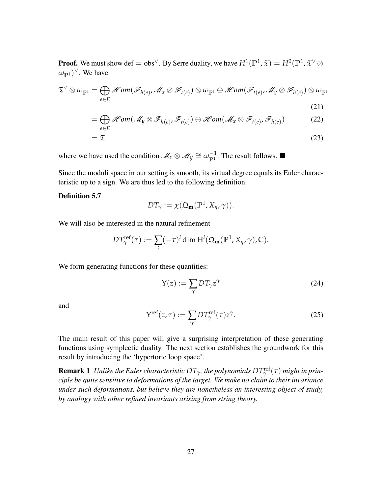**Proof.** We must show def  $=$  obs $^\vee$ . By Serre duality, we have  $H^1(\mathbb{P}^1,\mathfrak{T})=H^0(\mathbb{P}^1,\mathfrak{T}^\vee\otimes\mathfrak{P}^1)$  $(\omega_{\mathbb{P}^1})^{\vee}$ . We have

$$
\mathfrak{T}^{\vee} \otimes \omega_{\mathbb{P}^{1}} = \bigoplus_{e \in E} \mathcal{H}om(\mathcal{F}_{h(e)}, \mathcal{M}_{x} \otimes \mathcal{F}_{t(e)}) \otimes \omega_{\mathbb{P}^{1}} \oplus \mathcal{H}om(\mathcal{F}_{t(e)}, \mathcal{M}_{y} \otimes \mathcal{F}_{h(e)}) \otimes \omega_{\mathbb{P}^{1}}
$$
\n(21)

$$
= \bigoplus_{e \in E} \mathcal{H} \text{om}(\mathcal{M}_y \otimes \mathcal{F}_{h(e)}, \mathcal{F}_{t(e)}) \oplus \mathcal{H} \text{om}(\mathcal{M}_x \otimes \mathcal{F}_{t(e)}, \mathcal{F}_{h(e)}) \tag{22}
$$

$$
=\mathfrak{T}\tag{23}
$$

where we have used the condition  $\mathcal{M}_x \otimes \mathcal{M}_y \cong \omega_{p1}^{-1}$  $\mathbb{P}^1$ . The result follows.

Since the moduli space in our setting is smooth, its virtual degree equals its Euler characteristic up to a sign. We are thus led to the following definition.

#### Definition 5.7

$$
DT_{\gamma} := \chi(\mathfrak{Q}_{\mathbf{m}}(\mathbb{P}^1, X_{\eta}, \gamma)).
$$

We will also be interested in the natural refinement

$$
DT^{\text{ref}}_{\gamma}(\tau) := \sum_{i} (-\tau)^{i} \dim \mathrm{H}^{i}(\mathfrak{Q}_{\mathbf{m}}(\mathbb{P}^{1}, X_{\eta}, \gamma), \mathbb{C}).
$$

We form generating functions for these quantities:

$$
Y(z) := \sum_{\gamma} DT_{\gamma} z^{\gamma} \tag{24}
$$

<span id="page-26-0"></span>and

$$
Y^{\text{ref}}(z,\tau) := \sum_{\gamma} DT^{\text{ref}}_{\gamma}(\tau)z^{\gamma}.
$$
 (25)

The main result of this paper will give a surprising interpretation of these generating functions using symplectic duality. The next section establishes the groundwork for this result by introducing the 'hypertoric loop space'.

 ${\bf Remark~1}$  *Unlike the Euler characteristic*  $DT_{\gamma}$ *, the polynomials*  $DT_{\gamma}^{\rm ref}(\tau)$  *might in principle be quite sensitive to deformations of the target. We make no claim to their invariance under such deformations, but believe they are nonetheless an interesting object of study, by analogy with other refined invariants arising from string theory.*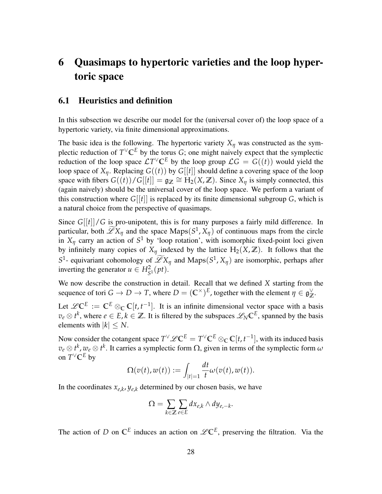# <span id="page-27-0"></span>6 Quasimaps to hypertoric varieties and the loop hypertoric space

### <span id="page-27-1"></span>6.1 Heuristics and definition

In this subsection we describe our model for the (universal cover of) the loop space of a hypertoric variety, via finite dimensional approximations.

The basic idea is the following. The hypertoric variety  $X_{\eta}$  was constructed as the symplectic reduction of  $T^{\vee} \mathbb{C}^E$  by the torus *G*; one might naively expect that the symplectic reduction of the loop space  $\mathcal{L}T^{\vee} \mathbb{C}^E$  by the loop group  $\mathcal{L}G = G((t))$  would yield the loop space of  $X_\eta$ . Replacing  $G((t))$  by  $G[[t]]$  should define a covering space of the loop space with fibers  $G((t))/G[[t]] = \mathfrak{g}_{\mathbb{Z}} \cong H_2(X,\mathbb{Z})$ . Since  $X_{\eta}$  is simply connected, this (again naively) should be the universal cover of the loop space. We perform a variant of this construction where  $G[[t]]$  is replaced by its finite dimensional subgroup  $G$ , which is a natural choice from the perspective of quasimaps.

Since *G*[[*t*]]/*G* is pro-unipotent, this is for many purposes a fairly mild difference. In particular, both  $\mathscr{L}X_{\eta}$  and the space Maps( $S^1$ ,  $X_{\eta}$ ) of continuous maps from the circle in  $X_{\eta}$  carry an action of  $S^1$  by 'loop rotation', with isomorphic fixed-point loci given by infinitely many copies of  $X_n$  indexed by the lattice  $H_2(X, \mathbb{Z})$ . It follows that the  $S^1$ - equivariant cohomology of  $\mathscr{L}X_\eta$  and Maps( $S^1$ ,  $X_\eta$ ) are isomorphic, perhaps after inverting the generator  $u \in H_{S^1}^2(pt)$ .

We now describe the construction in detail. Recall that we defined *X* starting from the sequence of tori  $G \to D \to T$ , where  $D = (\mathbb{C}^\times)^E$ , together with the element  $\eta \in \mathfrak{g}_{\mathbb{Z}}^\vee$ **Z** .

Let  $\mathscr{L} \mathbb{C}^E := \mathbb{C}^E \otimes_{\mathbb{C}} \mathbb{C}[t, t^{-1}]$ . It is an infinite dimensional vector space with a basis  $v_e \otimes t^k$ , where  $e \in E$ ,  $k \in \mathbb{Z}$ . It is filtered by the subspaces  $\mathscr{L}_N \mathbb{C}^E$ , spanned by the basis elements with  $|k| \leq N$ .

Now consider the cotangent space  $T^{\vee}\mathscr{L}\mathbb{C}^E = T^{\vee}\mathbb{C}^E \otimes_{\mathbb{C}} \mathbb{C}[t,t^{-1}]$ , with its induced basis  $v_e \otimes t^k$ ,  $w_e \otimes t^k$ . It carries a symplectic form  $\Omega$ , given in terms of the symplectic form  $\omega$ on  $T$ <sup> $\vee$ </sup>**C**<sup>*E*</sup> by

$$
\Omega(v(t),w(t)) := \int_{|t|=1} \frac{dt}{t} \omega(v(t),w(t)).
$$

In the coordinates  $x_{e,k}$ ,  $y_{e,k}$  determined by our chosen basis, we have

$$
\Omega = \sum_{k \in \mathbb{Z}} \sum_{e \in E} dx_{e,k} \wedge dy_{e,-k}.
$$

The action of *D* on  $\mathbb{C}^E$  induces an action on  $\mathscr{L}\mathbb{C}^E$ , preserving the filtration. Via the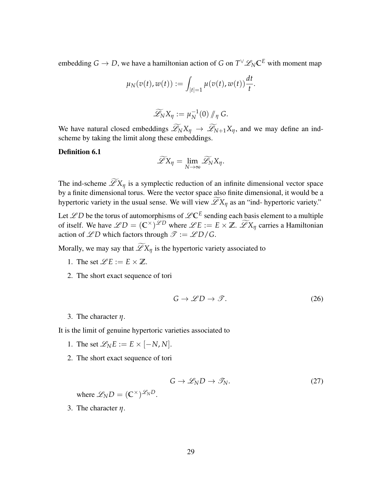embedding  $G \to D$ , we have a hamiltonian action of *G* on  $T^\vee \mathscr{L}_N \mathbb{C}^E$  with moment map

$$
\mu_N(v(t), w(t)) := \int_{|t|=1} \mu(v(t), w(t)) \frac{dt}{t}.
$$

$$
\widetilde{\mathscr{L}}_N X_\eta := \mu_N^{-1}(0) / \eta \, G.
$$

We have natural closed embeddings  $\mathscr{L}_N X_\eta \to \mathscr{L}_{N+1} X_\eta$ , and we may define an indscheme by taking the limit along these embeddings.

Definition 6.1

$$
\widetilde{\mathscr{L}}X_{\eta}=\lim_{N\to\infty}\widetilde{\mathscr{L}}_N X_{\eta}.
$$

The ind-scheme  $\widetilde{\mathscr{L}}X_{\eta}$  is a symplectic reduction of an infinite dimensional vector space by a finite dimensional torus. Were the vector space also finite dimensional, it would be a hypertoric variety in the usual sense. We will view  $\widetilde{\mathscr{L}}X_{\eta}$  as an "ind- hypertoric variety."

Let  $\mathscr{L}D$  be the torus of automorphisms of  $\mathscr{L} \mathbb{C}^E$  sending each basis element to a multiple of itself. We have  $\mathscr{L}D = (\mathbb{C}^{\times})^{\mathscr{L}D}$  where  $\mathscr{L}E := E \times \mathbb{Z}$ .  $\widetilde{\mathscr{L}}X_{\eta}$  carries a Hamiltonian action of  $\mathscr{L}D$  which factors through  $\mathscr{T} := \mathscr{L}D/G$ .

Morally, we may say that  $\widetilde{\mathscr{L}}X_{\eta}$  is the hypertoric variety associated to

- 1. The set  $\mathscr{L}E := E \times \mathbb{Z}$ .
- <span id="page-28-0"></span>2. The short exact sequence of tori

$$
G \to \mathscr{L}D \to \mathscr{T}.\tag{26}
$$

3. The character *η*.

It is the limit of genuine hypertoric varieties associated to

- 1. The set  $\mathcal{L}_N E := E \times [-N, N].$
- <span id="page-28-1"></span>2. The short exact sequence of tori

$$
G \to \mathscr{L}_N D \to \mathscr{T}_N. \tag{27}
$$

where  $\mathscr{L}_{N}D = (\mathbb{C}^{\times})^{\mathscr{L}_{N}D}$ .

3. The character *η*.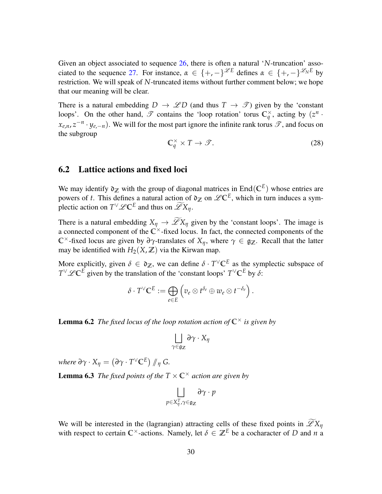Given an object associated to sequence [26,](#page-28-0) there is often a natural '*N*-truncation' asso-ciated to the sequence [27.](#page-28-1) For instance,  $\alpha \in \{+, -\}^{\mathscr{L}E}$  defines  $\alpha \in \{+, -\}^{\mathscr{L}_{N}E}$  by restriction. We will speak of *N*-truncated items without further comment below; we hope that our meaning will be clear.

There is a natural embedding  $D \to \mathscr{L}D$  (and thus  $T \to \mathscr{T}$ ) given by the 'constant loops'. On the other hand,  $\mathscr T$  contains the 'loop rotation' torus  $\mathbb C_q^{\times}$ , acting by  $(z^n + z)$  $x_{e,n}$ ,  $z^{-n}$  ·  $y_{e,-n}$ ). We will for the most part ignore the infinite rank torus  $\mathscr{T}$ , and focus on the subgroup

$$
\mathbb{C}_q^{\times} \times T \to \mathcal{F}.\tag{28}
$$

### <span id="page-29-0"></span>6.2 Lattice actions and fixed loci

We may identify  $\mathfrak{d}_{\mathbb{Z}}$  with the group of diagonal matrices in End $(\mathbb{C}^E)$  whose entries are powers of *t*. This defines a natural action of  $\rho_Z$  on  $\mathscr{L} \mathbb{C}^E$ , which in turn induces a symplectic action on  $T^{\vee}\mathscr{L}C^{E}$  and thus on  $\widetilde{\mathscr{L}}X_{\eta}$ .

There is a natural embedding  $X_\eta \to \widetilde{\mathscr{L}} X_\eta$  given by the 'constant loops'. The image is a connected component of the  $\mathbb{C}^{\times}$ -fixed locus. In fact, the connected components of the **C**<sup>×</sup>-fixed locus are given by  $\partial \gamma$ -translates of  $X_n$ , where  $\gamma \in \mathfrak{g}_Z$ . Recall that the latter may be identified with  $H_2(X, \mathbb{Z})$  via the Kirwan map.

More explicitly, given  $\delta \in \mathfrak{d}_{\mathbb{Z}}$ , we can define  $\delta \cdot T^{\vee} \mathbb{C}^E$  as the symplectic subspace of  $T^{\vee}\mathscr{L}\mathbb{C}^E$  given by the translation of the 'constant loops'  $T^{\vee}\mathbb{C}^E$  by  $\delta$ :

$$
\delta \cdot T^{\vee} \mathbb{C}^{E} := \bigoplus_{e \in E} \left( v_e \otimes t^{\delta_e} \oplus w_e \otimes t^{-\delta_e} \right).
$$

**Lemma 6.2** *The fixed locus of the loop rotation action of*  $\mathbb{C}^{\times}$  *is given by* 

$$
\bigsqcup_{\gamma \in \mathfrak{g}_{\mathbb{Z}}} \partial \gamma \cdot X_{\eta}
$$

*where*  $\partial \gamma \cdot X_{\eta} = (\partial \gamma \cdot T^{\vee} \mathbb{C}^E) \mathbb{I}_{\eta}$  G.

<span id="page-29-1"></span>**Lemma 6.3** *The fixed points of the*  $T \times \mathbb{C}^{\times}$  *action are given by* 

$$
\bigsqcup_{p\in X^T_\eta, \gamma\in\mathfrak{g}_\mathbb{Z}} \partial \gamma\cdot p
$$

We will be interested in the (lagrangian) attracting cells of these fixed points in  $\widetilde{\mathscr{L}}X_{\eta}$ with respect to certain  $\mathbb{C}^{\times}$ -actions. Namely, let  $\delta \in \mathbb{Z}^E$  be a cocharacter of *D* and *n* a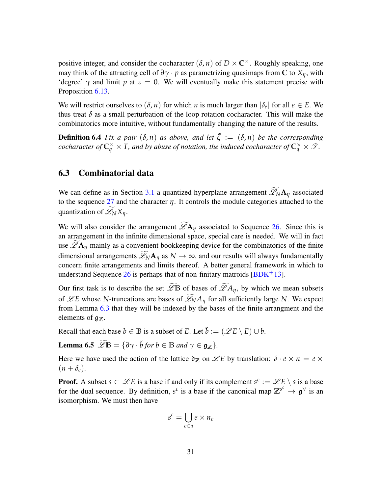positive integer, and consider the cocharacter  $(\delta, n)$  of  $D \times \mathbb{C}^{\times}$ . Roughly speaking, one may think of the attracting cell of  $\partial \gamma \cdot p$  as parametrizing quasimaps from  $\mathbb C$  to  $X_\eta$ , with 'degree'  $\gamma$  and limit *p* at  $z = 0$ . We will eventually make this statement precise with Proposition [6.13.](#page-33-1)

We will restrict ourselves to  $(\delta, n)$  for which *n* is much larger than  $|\delta_e|$  for all  $e \in E$ . We thus treat  $\delta$  as a small perturbation of the loop rotation cocharacter. This will make the combinatorics more intuitive, without fundamentally changing the nature of the results.

**Definition 6.4** *Fix a pair*  $(\delta, n)$  *as above, and let*  $\tilde{\zeta} := (\delta, n)$  *be the corresponding cocharacter of*  $\mathbb{C}_q^{\times} \times T$ *, and by abuse of notation, the induced cocharacter of*  $\mathbb{C}_q^{\times} \times \mathcal{T}$ *.* 

### <span id="page-30-0"></span>6.3 Combinatorial data

We can define as in Section [3.1](#page-7-0) a quantized hyperplane arrangement  $\widetilde{\mathscr{L}}_N\mathbf{A}_\eta$  associated to the sequence [27](#page-28-1) and the character *η*. It controls the module categories attached to the quantization of  $\widetilde{\mathscr{L}}_N X_\eta$ .

We will also consider the arrangement  $\widetilde{\mathscr{L}}A_\eta$  associated to Sequence [26.](#page-28-0) Since this is an arrangement in the infinite dimensional space, special care is needed. We will in fact use  $\mathscr{L}A_\eta$  mainly as a convenient bookkeeping device for the combinatorics of the finite dimensional arrangements  $\widetilde{\mathscr{L}}_N A_\eta$  as  $N \to \infty$ , and our results will always fundamentally concern finite arrangements and limits thereof. A better general framework in which to understand Sequence [26](#page-28-0) is perhaps that of non-finitary matroids  $\sqrt{BDK+13}$ .

Our first task is to describe the set  $\widetilde{\mathscr{L}}$ **B** of bases of  $\widetilde{\mathscr{L}}A_\eta$ , by which we mean subsets of  $\mathscr{L}E$  whose *N*-truncations are bases of  $\widetilde{\mathscr{L}}_N A_\eta$  for all sufficiently large *N*. We expect from Lemma [6.3](#page-29-1) that they will be indexed by the bases of the finite arrangment and the elements of  $g_{\mathbb{Z}}$ .

Recall that each base  $b \in \mathbb{B}$  is a subset of *E*. Let  $\tilde{b} := (\mathscr{L}E \setminus E) \cup b$ .

Lemma 6.5  $\widetilde{\mathscr{L}}\mathbb{B} = \{\partial \gamma \cdot \tilde{b} \text{ for } b \in \mathbb{B} \text{ and } \gamma \in \mathfrak{g}_{\mathbb{Z}}\}.$ 

Here we have used the action of the lattice  $\mathfrak{d}_\mathbb{Z}$  on  $\mathscr{L}E$  by translation:  $\delta \cdot e \times n = e \times$  $(n + \delta_e).$ 

**Proof.** A subset  $s \subset \mathcal{L}E$  is a base if and only if its complement  $s^c := \mathcal{L}E \setminus s$  is a base for the dual sequence. By definition,  $s^c$  is a base if the canonical map  $\mathbb{Z}^{s^c} \to \mathfrak{g}^{\vee}$  is an isomorphism. We must then have

$$
s^c = \bigcup_{e \in a} e \times n_e
$$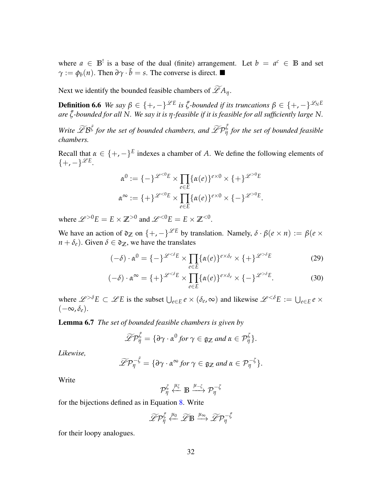where  $a \in \mathbb{B}^!$  is a base of the dual (finite) arrangement. Let  $b = a^c \in \mathbb{B}$  and set  $\gamma := \phi_b(n)$ . Then  $\partial \gamma \cdot \tilde{b} = s$ . The converse is direct. ■

Next we identify the bounded feasible chambers of  $\widetilde{\mathscr{L}}A_{\eta}$ .

**Definition 6.6** We say  $\beta \in \{+, -\}^{\mathscr{L}E}$  is  $\tilde{\zeta}$ -bounded if its truncations  $\beta \in \{+, -\}^{\mathscr{L}_{N}E}$ *are* ˜*ζ-bounded for all N. We say it is η-feasible if it is feasible for all sufficiently large N.*

*Write*  $\widetilde{\mathscr{L}}B^{\tilde{\zeta}}$  for the set of bounded chambers, and  $\widetilde{\mathscr{L}}P^{\tilde{\zeta}}_{\eta}$  for the set of bounded feasible *chambers.*

Recall that  $\alpha \in \{+, -\}^E$  indexes a chamber of *A*. We define the following elements of  $\{+,-\}^{\mathscr{L}E}.$ 

$$
\alpha^{0} := \{-\}^{\mathscr{L}^{<0}E} \times \prod_{e \in E} {\{\alpha(e)\}^{e \times 0} \times \{+\}}^{\mathscr{L}^{>0}E}
$$

$$
\alpha^{\infty} := \{+\}^{\mathscr{L}^{<0}E} \times \prod_{e \in E} {\{\alpha(e)\}^{e \times 0} \times \{-}\}^{\mathscr{L}^{>0}E}.
$$

where  $\mathscr{L}^{>0}E = E \times \mathbb{Z}^{>0}$  and  $\mathscr{L}^{<0}E = E \times \mathbb{Z}^{<0}$ .

We have an action of  $\partial z$  on  $\{+,-\}^{\mathscr{L}E}$  by translation. Namely,  $\delta \cdot \beta(e \times n) := \beta(e \times n)$  $n + \delta_e$ ). Given  $\delta \in \mathfrak{d}_\mathbb{Z}$ , we have the translates

<span id="page-31-0"></span>
$$
(-\delta) \cdot \alpha^0 = \{-\}^{\mathscr{L}^{< \delta}E} \times \prod_{e \in E} \{ \alpha(e) \}^{e \times \delta_e} \times \{+\}^{\mathscr{L}^{> \delta}E} \tag{29}
$$

$$
(-\delta) \cdot \alpha^{\infty} = \{ + \}^{\mathscr{L}^{< \delta}E} \times \prod_{e \in E} \{ \alpha(e) \}^{e \times \delta_e} \times \{ - \}^{\mathscr{L}^{> \delta}E}.
$$
 (30)

where  $\mathscr{L}^{\geq \delta}E \subset \mathscr{L}E$  is the subset  $\bigcup_{e \in E} e \times (\delta_e, \infty)$  and likewise  $\mathscr{L}^{<\delta}E := \bigcup_{e \in E} e \times$ (−∞, *δe*).

<span id="page-31-1"></span>Lemma 6.7 *The set of bounded feasible chambers is given by*

$$
\widetilde{\mathscr{L}}\mathcal{P}_{\eta}^{\tilde{\zeta}} = \{\partial \gamma \cdot \alpha^{0} \text{ for } \gamma \in \mathfrak{g}_{\mathbb{Z}} \text{ and } \alpha \in \mathcal{P}_{\eta}^{\zeta}\}.
$$

*Likewise,*

$$
\widetilde{\mathscr{L}}\mathcal{P}_{\eta}^{-\zeta} = \{\partial \gamma \cdot \alpha^{\infty} \text{ for } \gamma \in \mathfrak{g}_{\mathbb{Z}} \text{ and } \alpha \in \mathcal{P}_{\eta}^{-\zeta}\}.
$$

Write

$$
\mathcal{P}_{\eta}^{\zeta} \overset{\mu_{\zeta}}{\longleftarrow} \mathbb{B} \overset{\mu_{-\zeta}}{\longrightarrow} \mathcal{P}_{\eta}^{-\zeta}
$$

for the bijections defined as in Equation [8.](#page-9-3) Write

$$
\widetilde{\mathscr{L}}\mathcal{P}^{\tilde{\zeta}}_\eta\stackrel{\mu_0}{\longleftarrow}\widetilde{\mathscr{L}}\mathbb{B}\stackrel{\mu_\infty}{\longrightarrow}\widetilde{\mathscr{L}}\mathcal{P}^{-\tilde{\zeta}}_\eta
$$

for their loopy analogues.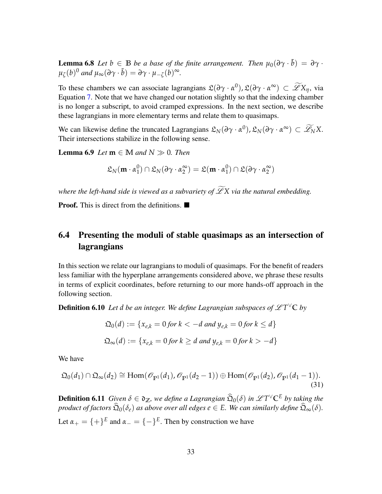**Lemma 6.8** Let  $b \in \mathbb{B}$  be a base of the finite arrangement. Then  $\mu_0(\partial \gamma \cdot \tilde{b}) = \partial \gamma \cdot \tilde{b}$  $\mu_{\zeta}(b)^0$  and  $\mu_{\infty}(\partial \gamma \cdot \tilde{b}) = \partial \gamma \cdot \mu_{-\zeta}(b)^{\infty}$ .

To these chambers we can associate lagrangians  $\mathfrak{L}(\partial \gamma \cdot \alpha^0)$ ,  $\mathfrak{L}(\partial \gamma \cdot \alpha^\infty) \subset \widetilde{\mathscr{L}}X_\eta$ , via Equation [7.](#page-8-2) Note that we have changed our notation slightly so that the indexing chamber is no longer a subscript, to avoid cramped expressions. In the next section, we describe these lagrangians in more elementary terms and relate them to quasimaps.

We can likewise define the truncated Lagrangians  $\mathfrak{L}_N(\partial \gamma \cdot \alpha^0), \mathfrak{L}_N(\partial \gamma \cdot \alpha^\infty) \subset \widetilde{\mathscr{L}}_N X$ . Their intersections stabilize in the following sense.

**Lemma 6.9** *Let*  $m \in M$  *and*  $N \gg 0$ *. Then* 

<span id="page-32-3"></span>
$$
\mathfrak{L}_N(\mathbf{m}\cdot\alpha_1^0)\cap\mathfrak{L}_N(\partial\gamma\cdot\alpha_2^\infty)=\mathfrak{L}(\mathbf{m}\cdot\alpha_1^0)\cap\mathfrak{L}(\partial\gamma\cdot\alpha_2^\infty)
$$

*where the left-hand side is viewed as a subvariety of*  $\widetilde{\mathscr{L}}X$  *via the natural embedding.* 

**Proof.** This is direct from the definitions.

### <span id="page-32-0"></span>6.4 Presenting the moduli of stable quasimaps as an intersection of lagrangians

In this section we relate our lagrangians to moduli of quasimaps. For the benefit of readers less familiar with the hyperplane arrangements considered above, we phrase these results in terms of explicit coordinates, before returning to our more hands-off approach in the following section.

**Definition 6.10** Let  $d$  be an integer. We define Lagrangian subspaces of  $\mathscr{L}T^{\vee}\mathbb{C}$  by

<span id="page-32-2"></span>
$$
\mathfrak{Q}_0(d) := \{x_{e,k} = 0 \text{ for } k < -d \text{ and } y_{e,k} = 0 \text{ for } k \leq d\}
$$
\n
$$
\mathfrak{Q}_\infty(d) := \{x_{e,k} = 0 \text{ for } k \geq d \text{ and } y_{e,k} = 0 \text{ for } k > -d\}
$$

<span id="page-32-1"></span>We have

$$
\mathfrak{Q}_0(d_1) \cap \mathfrak{Q}_{\infty}(d_2) \cong \text{Hom}(\mathscr{O}_{\mathbb{P}^1}(d_1), \mathscr{O}_{\mathbb{P}^1}(d_2 - 1)) \oplus \text{Hom}(\mathscr{O}_{\mathbb{P}^1}(d_2), \mathscr{O}_{\mathbb{P}^1}(d_1 - 1)).
$$
\n(31)

**Definition 6.11** *Given*  $\delta \in \mathfrak{d}_{\mathbb{Z}}$ *, we define a Lagrangian*  $\widehat{\mathfrak{Q}}_0(\delta)$  *in*  $\mathscr{L}T^{\vee} \mathbb{C}^E$  *by taking the product of factors*  $\widehat{\mathfrak{Q}}_0(\delta_e)$  *as above over all edges*  $e \in E$ *. We can similarly define*  $\widehat{\mathfrak{Q}}_{\infty}(\delta)$ *.* Let  $\alpha_+ = \{ + \}^E$  and  $\alpha_- = \{ - \}^E$ . Then by construction we have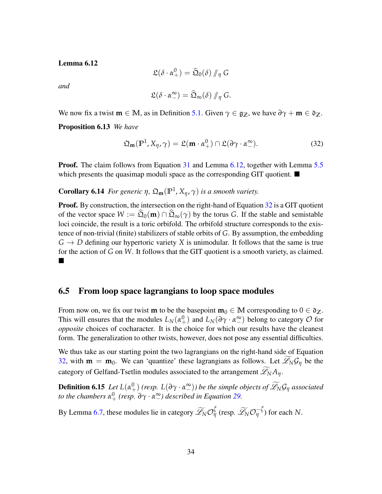Lemma 6.12

$$
\mathfrak{L}(\delta \cdot \alpha^0_+) = \widehat{\mathfrak{Q}}_0(\delta) \, / \! \! /_{\eta} \, G
$$

*and*

$$
\mathfrak{L}(\delta \cdot \alpha^{\infty}_{-}) = \widehat{\mathfrak{Q}}_{\infty}(\delta) / \eta \, G.
$$

We now fix a twist  $\mathbf{m} \in \mathbb{M}$ , as in Definition [5.1.](#page-23-2) Given  $\gamma \in \mathfrak{g}_{\mathbb{Z}}$ , we have  $\partial \gamma + \mathbf{m} \in \mathfrak{d}_{\mathbb{Z}}$ .

<span id="page-33-1"></span>Proposition 6.13 *We have*

<span id="page-33-2"></span>
$$
\mathfrak{Q}_{\mathbf{m}}(\mathbb{P}^1, X_{\eta}, \gamma) = \mathfrak{L}(\mathbf{m} \cdot \alpha_+^0) \cap \mathfrak{L}(\partial \gamma \cdot \alpha_-^{\infty}). \tag{32}
$$

**Proof.** The claim follows from Equation [31](#page-32-1) and Lemma [6.12,](#page-32-2) together with Lemma [5.5](#page-25-1) which presents the quasimap moduli space as the corresponding GIT quotient.  $\blacksquare$ 

### **Corollary 6.14** *For generic η*,  $\mathfrak{Q}_{\mathbf{m}}(\mathbb{P}^1, X_\eta, \gamma)$  *is a smooth variety.*

**Proof.** By construction, the intersection on the right-hand of Equation [32](#page-33-2) is a GIT quotient of the vector space  $W := \hat{\Omega}_0(\mathbf{m}) \cap \hat{\Omega}_\infty(\gamma)$  by the torus *G*. If the stable and semistable loci coincide, the result is a toric orbifold. The orbifold structure corresponds to the existence of non-trivial (finite) stabilizers of stable orbits of *G*. By assumption, the embedding  $G \rightarrow D$  defining our hypertoric variety X is unimodular. It follows that the same is true for the action of *G* on *W*. It follows that the GIT quotient is a smooth variety, as claimed. ■

### <span id="page-33-0"></span>6.5 From loop space lagrangians to loop space modules

From now on, we fix our twist **m** to be the basepoint  $\mathbf{m}_0 \in \mathbb{M}$  corresponding to  $0 \in \mathfrak{d}_{\mathbb{Z}}$ . This will ensures that the modules  $L_N(\alpha_+^0)$  and  $L_N(\partial \gamma \cdot \alpha_-^{\infty})$  belong to category  $\mathcal O$  for *opposite* choices of cocharacter. It is the choice for which our results have the cleanest form. The generalization to other twists, however, does not pose any essential difficulties.

We thus take as our starting point the two lagrangians on the right-hand side of Equation [32,](#page-33-2) with  $\mathbf{m} = \mathbf{m}_0$ . We can 'quantize' these lagrangians as follows. Let  $\widetilde{\mathscr{L}}_N \mathcal{G}_\eta$  be the category of Gelfand-Tsetlin modules associated to the arrangement  $\mathscr{L}_N A_n$ .

**Definition 6.15** *Let*  $L(\alpha_+^0)$  (resp.  $L(\partial \gamma \cdot \alpha_-^{\infty})$ ) be the simple objects of  $\widetilde{\mathscr{L}}_N \mathcal{G}_{\eta}$  associated *to the chambers*  $\alpha_+^0$  (resp.  $\partial \gamma \cdot \alpha_-^{\infty}$ ) described in Equation [29.](#page-31-0)

<span id="page-33-3"></span>By Lemma [6.7,](#page-31-1) these modules lie in category  $\widetilde{\mathscr{L}}_N \mathcal{O}_\eta^{\tilde{\zeta}}$  (resp.  $\widetilde{\mathscr{L}}_N \mathcal{O}_\eta^{-\tilde{\zeta}}$ ) for each *N*.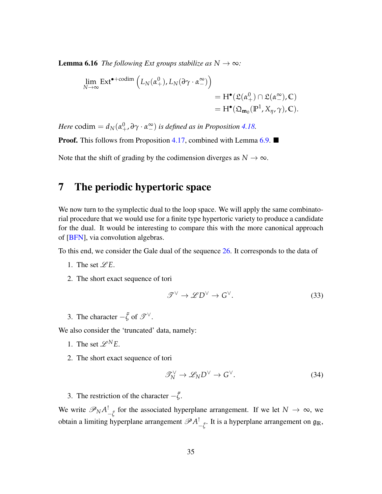**Lemma 6.16** *The following Ext groups stabilize as*  $N \rightarrow \infty$ *:* 

$$
\lim_{N \to \infty} \text{Ext}^{\bullet + \text{codim}} \left( L_N(\alpha_+^0), L_N(\partial \gamma \cdot \alpha_-^{\infty}) \right)
$$
\n
$$
= H^{\bullet}(\mathfrak{L}(\alpha_+^0) \cap \mathfrak{L}(\alpha_-^{\infty}), \mathbb{C})
$$
\n
$$
= H^{\bullet}(\mathfrak{Q}_{\mathbf{m}_0}(\mathbb{P}^1, X_{\eta}, \gamma), \mathbb{C}).
$$

*Here* codim =  $d_N(\alpha_+^0, \partial \gamma \cdot \alpha_-^{\infty})$  *is defined as in Proposition [4.18.](#page-19-4)* **Proof.** This follows from Proposition [4.17,](#page-19-1) combined with Lemma [6.9.](#page-32-3)  $\blacksquare$ Note that the shift of grading by the codimension diverges as  $N \to \infty$ .

# <span id="page-34-0"></span>7 The periodic hypertoric space

We now turn to the symplectic dual to the loop space. We will apply the same combinatorial procedure that we would use for a finite type hypertoric variety to produce a candidate for the dual. It would be interesting to compare this with the more canonical approach of [\[BFN\]](#page-42-4), via convolution algebras.

To this end, we consider the Gale dual of the sequence [26.](#page-28-0) It corresponds to the data of

- 1. The set  $\mathscr{L}E$ .
- 2. The short exact sequence of tori

<span id="page-34-1"></span>
$$
\mathcal{T}^{\vee} \to \mathcal{L}D^{\vee} \to G^{\vee}.
$$
 (33)

3. The character  $-\tilde{\zeta}$  of  $\mathscr{T}^{\vee}$ .

We also consider the 'truncated' data, namely:

- 1. The set  $\mathscr{L}^N E$ .
- 2. The short exact sequence of tori

$$
\mathcal{I}_N^{\vee} \to \mathcal{L}_N D^{\vee} \to G^{\vee}.
$$
 (34)

3. The restriction of the character  $-\tilde{\zeta}$ .

We write  $\mathscr{P}_N A^!_{-\tilde{\zeta}}$  for the associated hyperplane arrangement. If we let  $N \to \infty$ , we obtain a limiting hyperplane arrangement  $\mathscr{P}A^!_{-\tilde{\zeta}}$ . It is a hyperplane arrangement on  $\mathfrak{g}_\mathbb{R}$ ,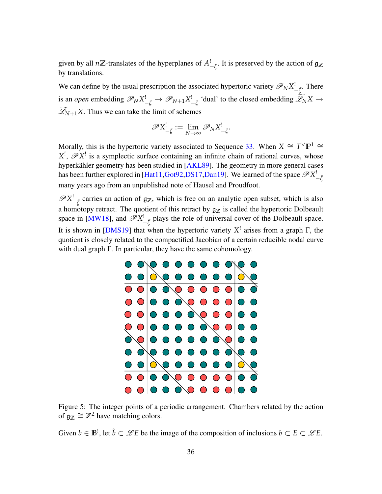given by all  $n\mathbb{Z}$ -translates of the hyperplanes of  $A^!_{-\zeta}$ . It is preserved by the action of  $\mathfrak{g}_{\mathbb{Z}}$ by translations.

We can define by the usual prescription the associated hypertoric variety  $\mathscr{P}_N X^!_{-\tilde{\zeta}}$ . There is an *open* embedding  $\mathscr{P}_N X^!_{-\tilde{\zeta}} \to \mathscr{P}_{N+1} X^!_{-\tilde{\zeta}}$  'dual' to the closed embedding  $\mathscr{L}_N X \to$  $\widetilde{\mathcal{L}}_{N+1}$ *X*. Thus we can take the limit of schemes

$$
\mathscr{P}X^!_{-\tilde{\zeta}} := \lim_{N \to \infty} \mathscr{P}_N X^!_{-\tilde{\zeta}}.
$$

Morally, this is the hypertoric variety associated to Sequence [33.](#page-34-1) When  $X \cong T^{\vee} \mathbb{P}^1 \cong T^{\vee} \mathbb{P}^1$  $X^!$ ,  $\mathscr{P}X^!$  is a symplectic surface containing an infinite chain of rational curves, whose hyperkähler geometry has been studied in [[AKL89\]](#page-41-6). The geometry in more general cases has been further explored in [\[Hat11,](#page-43-10)[Got92,](#page-43-11)[DS17,](#page-43-12)[Dan19\]](#page-42-12). We learned of the space  $\mathscr{P}X_{-\tilde{\zeta}}^{!}$ many years ago from an unpublished note of Hausel and Proudfoot.

 $\mathscr{P}X^!_{-\tilde{\zeta}}$  carries an action of  $\mathfrak{g}_\mathbb{Z}$ , which is free on an analytic open subset, which is also a homotopy retract. The quotient of this retract by  $g_Z$  is called the hypertoric Dolbeault space in [\[MW18\]](#page-44-9), and  $\mathscr{P}X^!_{-\tilde{\zeta}}$  plays the role of universal cover of the Dolbeault space. It is shown in [\[DMS19\]](#page-43-5) that when the hypertoric variety *X* ! arises from a graph Γ, the quotient is closely related to the compactified Jacobian of a certain reducible nodal curve with dual graph Γ. In particular, they have the same cohomology.



Figure 5: The integer points of a periodic arrangement. Chambers related by the action of  $\mathfrak{g}_{\mathbb{Z}} \cong \mathbb{Z}^2$  have matching colors.

Given  $b \in \mathbb{B}^!$ , let  $\tilde{b} \subset \mathscr{L}E$  be the image of the composition of inclusions  $b \subset E \subset \mathscr{L}E$ .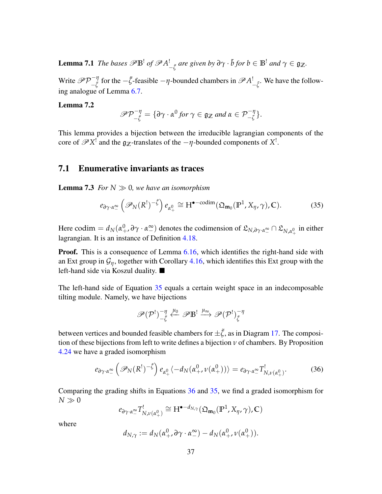Lemma 7.1 *The bases*  $\mathscr{P}\mathbb{B}^!$  *of*  $\mathscr{P}A^!_{-\tilde{\zeta}}$  *are given by*  $\partial \gamma \cdot \tilde{b}$  *for*  $b \in \mathbb{B}^!$  *and*  $\gamma \in \mathfrak{g}_{\mathbb{Z}}$ *.* 

Write  $\mathscr{P} \mathcal{P}^{-\eta}_{\tilde{z}}$  $-\frac{π}{ζ}$  for the  $-\frac{ε}{ζ}$ -feasible  $-η$ -bounded chambers in  $\mathscr{P}A^!_{-\frac{ε}{ζ}}$ . We have the following analogue of Lemma [6.7.](#page-31-1)

#### Lemma 7.2

$$
\mathscr{P}\mathcal{P}^{-\eta}_{-\tilde{\zeta}} = \{\partial \gamma \cdot \alpha^0 \text{ for } \gamma \in \mathfrak{g}_{\mathbb{Z}} \text{ and } \alpha \in \mathcal{P}^{-\eta}_{-\zeta}\}.
$$

This lemma provides a bijection between the irreducible lagrangian components of the core of  $\mathscr{P}X^!$  and the  $\mathfrak{g}_{\mathbb{Z}}$ -translates of the  $-\eta$ -bounded components of  $X^!$ .

### <span id="page-36-0"></span>7.1 Enumerative invariants as traces

**Lemma 7.3** *For*  $N \gg 0$ *, we have an isomorphism* 

<span id="page-36-1"></span>
$$
e_{\partial \gamma \cdot \alpha^{\infty}_-}\left(\mathscr{P}_N(R^!)^{-\tilde{\zeta}}\right) e_{\alpha^0_+} \cong H^{\bullet - \text{codim}}(\mathfrak{Q}_{\mathbf{m}_0}(\mathbb{P}^1, X_{\eta}, \gamma), \mathbb{C}).\tag{35}
$$

Here codim  $= d_N(\alpha_+^0, \partial \gamma \cdot \alpha_-^{\infty})$  denotes the codimension of  $\mathfrak{L}_{N, \partial \gamma \cdot \alpha_-^{\infty}} \cap \mathfrak{L}_{N, \alpha_+^0}$  in either lagrangian. It is an instance of Definition [4.18.](#page-19-4)

**Proof.** This is a consequence of Lemma [6.16,](#page-33-3) which identifies the right-hand side with an Ext group in  $\mathcal{G}_{\eta}$ , together with Corollary [4.16,](#page-18-2) which identifies this Ext group with the left-hand side via Koszul duality.

The left-hand side of Equation [35](#page-36-1) equals a certain weight space in an indecomposable tilting module. Namely, we have bijections

<span id="page-36-2"></span>
$$
\mathscr{P}(\mathcal{P}^!)^{-\eta}_{-\tilde{\zeta}}\stackrel{\mu_0}{\longleftarrow}\mathscr{P}\mathbb{B}^! \stackrel{\mu_\infty}{\longrightarrow} \mathscr{P}(\mathcal{P}^!)^{-\eta}_{\tilde{\zeta}}
$$

between vertices and bounded feasible chambers for  $\pm \tilde{\zeta}$ , as in Diagram [17.](#page-21-2) The composition of these bijections from left to write defines a bijection *ν* of chambers. By Proposition [4.24](#page-21-0) we have a graded isomorphism

$$
e_{\partial \gamma \cdot \alpha^{\infty}_-}\left(\mathscr{P}_N(R^!)^{-\tilde{\zeta}}\right)e_{\alpha^0_+}\left(-d_N(\alpha^0_+, \nu(\alpha^0_+))\right)=e_{\partial \gamma \cdot \alpha^{\infty}_-}T^!_{N, \nu(\alpha^0_+)}.
$$
 (36)

Comparing the grading shifts in Equations [36](#page-36-2) and [35,](#page-36-1) we find a graded isomorphism for  $N\gg 0$ 

$$
e_{\partial \gamma \cdot \alpha_{-}^{\infty}} T^!_{N,\nu(\alpha_+^0)} \cong H^{\bullet - d_{N,\gamma}}(\mathfrak{Q}_{\mathbf{m}_0}(\mathbb{P}^1, X_{\eta}, \gamma), \mathbb{C})
$$

where

$$
d_{N,\gamma} := d_N(\alpha_+^0, \partial \gamma \cdot \alpha_-^{\infty}) - d_N(\alpha_+^0, \nu(\alpha_+^0)).
$$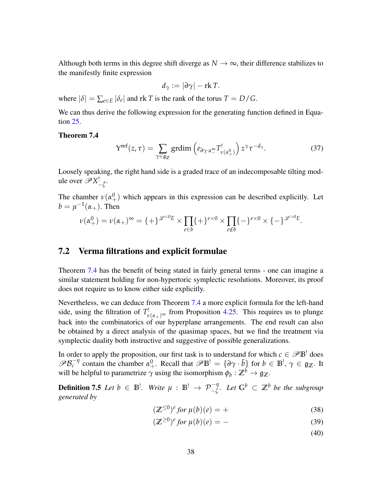Although both terms in this degree shift diverge as  $N \to \infty$ , their difference stabilizes to the manifestly finite expression

$$
d_{\gamma}:=|\partial \gamma|-{\rm rk}\, T.
$$

where  $|\delta| = \sum_{e \in E} |\delta_e|$  and rk *T* is the rank of the torus  $T = D/G$ .

We can thus derive the following expression for the generating function defined in Equation [25.](#page-26-0)

#### <span id="page-37-1"></span>Theorem 7.4

$$
Y^{\text{ref}}(z,\tau) = \sum_{\gamma \in \mathfrak{g}_{\mathbb{Z}}} \text{grdim}\left(e_{\partial \gamma \cdot \alpha_{-}^{\infty}} T_{\nu(\alpha_{+}^{0})}^{!}\right) z^{\gamma} \tau^{-d_{\gamma}}.
$$
 (37)

Loosely speaking, the right hand side is a graded trace of an indecomposable tilting module over  $\mathscr{P}X^!_{-\tilde{ζ}}$ .

The chamber  $v(\alpha_+^0)$  which appears in this expression can be described explicitly. Let  $b = \mu^{-1}(\alpha_+)$ . Then

$$
\nu(\alpha_+^0) = \nu(\alpha_+)^\infty = \{ + \}^{\mathscr{L} < 0} E \times \prod_{e \in b} \{ + \}^{e \times 0} \times \prod_{e \notin b} \{ - \}^{e \times 0} \times \{ - \}^{\mathscr{L}^{>0}E}.
$$

### <span id="page-37-0"></span>7.2 Verma filtrations and explicit formulae

Theorem [7.4](#page-37-1) has the benefit of being stated in fairly general terms - one can imagine a similar statement holding for non-hypertoric symplectic resolutions. Moreover, its proof does not require us to know either side explicitly.

Nevertheless, we can deduce from Theorem [7.4](#page-37-1) a more explicit formula for the left-hand side, using the filtration of  $T^!_{\nu(\alpha_+)^{\infty}}$  from Proposition [4.25.](#page-21-3) This requires us to plunge back into the combinatorics of our hyperplane arrangements. The end result can also be obtained by a direct analysis of the quasimap spaces, but we find the treatment via symplectic duality both instructive and suggestive of possible generalizations.

In order to apply the proposition, our first task is to understand for which  $c \in \mathscr{P} \mathbb{B}^!$  does  $\mathscr{B} \mathcal{B}_c^{-\eta}$  contain the chamber  $\alpha^0_+$ . Recall that  $\mathscr{B} \mathbb{B}^! = {\partial \gamma \cdot \tilde{b}}$  for  $b \in \mathbb{B}^!, \gamma \in \mathfrak{g}_{\mathbb{Z}}$ . It will be helpful to parametrize  $\gamma$  using the isomorphism  $\phi_b: \mathbb{Z}^b \to \mathfrak{g}_{\mathbb{Z}}$ .

**Definition 7.5** *Let b* ∈  $\mathbb{B}^!$ . *Write*  $\mu$  :  $\mathbb{B}^!$  →  $\mathcal{P}^{-\eta}_{-\zeta}$ *. Let*  $\mathbb{G}^b$  ⊂  $\mathbb{Z}^b$  *be the subgroup generated by*

$$
(\mathbb{Z}^{\leq 0})^e \text{ for } \mu(b)(e) = + \tag{38}
$$

$$
(\mathbb{Z}^{\geq 0})^e \text{ for } \mu(b)(e) = - \tag{39}
$$

(40)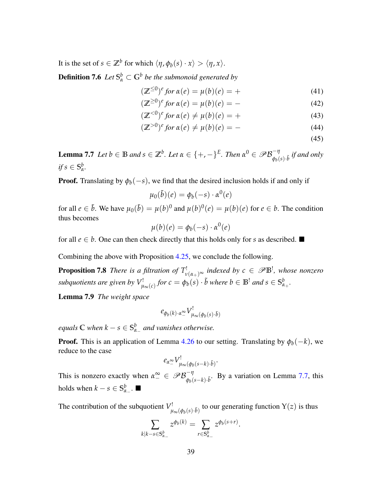It is the set of  $s \in \mathbb{Z}^b$  for which  $\langle \eta, \phi_b(s) \cdot x \rangle > \langle \eta, x \rangle$ .

**Definition 7.6** Let  $S^b_\alpha \subset G^b$  be the submonoid generated by

<span id="page-38-1"></span>
$$
(\mathbb{Z}^{\leq 0})^e \text{ for } \alpha(e) = \mu(b)(e) = + \tag{41}
$$

$$
(\mathbb{Z}^{\geq 0})^e \text{ for } \alpha(e) = \mu(b)(e) = - \tag{42}
$$

$$
(\mathbb{Z}^{<0})^e \text{ for } \alpha(e) \neq \mu(b)(e) = + \tag{43}
$$

$$
(\mathbb{Z}^{>0})^e \text{ for } \alpha(e) \neq \mu(b)(e) = - \tag{44}
$$

(45)

<span id="page-38-0"></span>**Lemma 7.7** Let  $b \in \mathbb{B}$  and  $s \in \mathbb{Z}^b$ . Let  $\alpha \in \{+,-\}^E$ . Then  $\alpha^0 \in \mathscr{P} \mathcal{B}_{\alpha,\alpha}^{-\eta}$  $\int_{\phi_b(s)\cdot\tilde{b}}^{\phi_f(s)}$  *if and only*  $if s \in \mathbb{S}^b_\alpha$ *α .*

**Proof.** Translating by  $\phi_b(-s)$ , we find that the desired inclusion holds if and only if

$$
\mu_0(\tilde{b})(e) = \phi_b(-s) \cdot \alpha^0(e)
$$

for all  $e \in \tilde{b}$ . We have  $\mu_0(\tilde{b}) = \mu(b)^0$  and  $\mu(b)^0(e) = \mu(b)(e)$  for  $e \in b$ . The condition thus becomes

$$
\mu(b)(e) = \phi_b(-s) \cdot \alpha^0(e)
$$

for all  $e \in b$ . One can then check directly that this holds only for *s* as described.  $\blacksquare$ 

Combining the above with Proposition [4.25,](#page-21-3) we conclude the following.

**Proposition 7.8** *There is a filtration of*  $T^!_{\nu(\alpha_+)^{\infty}}$  *indexed by*  $c \in \mathscr{P} \mathbb{B}^!$ *, whose nonzero subquotients are given by V* !  $\psi^!_{\infty(c)}$  for  $c = \phi_b(s) \cdot \tilde{b}$  where  $b \in \mathbb{B}^!$  and  $s \in \mathbb{S}^b_\alpha$ *α*+ *.*

Lemma 7.9 *The weight space*

$$
e_{\phi_b(k)\cdot\alpha_-^{\infty}}V^!_{\mu_{\infty}(\phi_b(s)\cdot\tilde{b})}
$$

*equals*  $\mathbb C$  *when*  $k-s \in \mathbb S_\alpha^b$ *α*− *and vanishes otherwise.*

**Proof.** This is an application of Lemma [4.26](#page-22-2) to our setting. Translating by  $\phi_b(-k)$ , we reduce to the case

$$
e_{\alpha} \mathop{\sim}\limits^{\mathbf{\infty}} V^!_{\mu_{\infty}(\phi_b(s-k)\cdot\tilde b)}.
$$

This is nonzero exactly when  $\alpha_{-}^{\infty} \in \mathscr{P} \mathcal{B}_{\phi_{-}}^{-\eta}$  $\frac{-\eta}{\varphi_b(s-k) \cdot \tilde{b}}$ . By a variation on Lemma [7.7,](#page-38-0) this holds when  $k - s \in \mathbb{S}_{\alpha}^b$  $\frac{b}{\alpha_-}$ . ■

The contribution of the subquotient *V* !  $\mu_{\infty}(\varphi_b(s).\tilde{b})$  to our generating function  $Y(z)$  is thus

$$
\sum_{k|k-s\in\mathbb{S}_{\alpha_-}^b} z^{\phi_b(k)} = \sum_{r\in\mathbb{S}_{\alpha_-}^b} z^{\phi_b(s+r)}.
$$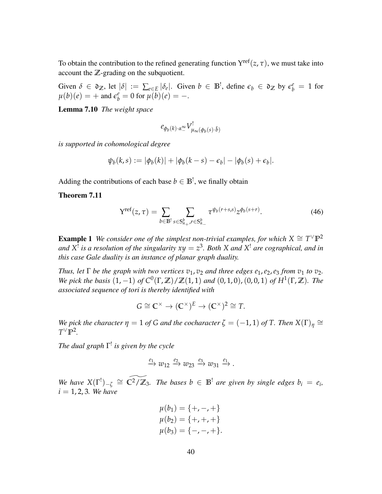To obtain the contribution to the refined generating function  $Y^{\text{ref}}(z, \tau)$ , we must take into account the **Z**-grading on the subquotient.

Given  $\delta \in \mathfrak{d}_{\mathbb{Z}}$ , let  $|\delta| := \sum_{e \in E} |\delta_e|$ . Given  $b \in \mathbb{B}^!$ , define  $\epsilon_b \in \mathfrak{d}_{\mathbb{Z}}$  by  $\epsilon_b^e = 1$  for  $\mu(b)(e) = +$  and  $\epsilon_b^e = 0$  for  $\mu(b)(e) = -$ .

Lemma 7.10 *The weight space*

<span id="page-39-0"></span>
$$
e_{\phi_b(k)\cdot\alpha_-^{\infty}}V^!_{\mu_{\infty}(\phi_b(s)\cdot\tilde{b})}
$$

*is supported in cohomological degree*

$$
\psi_b(k,s) := |\phi_b(k)| + |\phi_b(k-s) - \epsilon_b| - |\phi_b(s) + \epsilon_b|.
$$

Adding the contributions of each base  $b \in \mathbb{B}^!$ , we finally obtain

Theorem 7.11

$$
Y^{\text{ref}}(z,\tau) = \sum_{b \in \mathbb{B}^!} \sum_{s \in S_{\alpha_+}^b, r \in S_{\alpha_-}^b} \tau^{\psi_b(r+s,s)} z^{\phi_b(s+r)}.
$$
 (46)

**Example 1** We consider one of the simplest non-trivial examples, for which  $X \cong T^{\vee} \mathbb{P}^2$ *and*  $X^!$  *is a resolution of the singularity*  $xy = z^3$ *. Both*  $X$  *and*  $X^!$  *are cographical, and in this case Gale duality is an instance of planar graph duality.*

*Thus, let*  $\Gamma$  *be the graph with two vertices*  $v_1$ ,  $v_2$  *and three edges*  $e_1$ ,  $e_2$ ,  $e_3$  *from*  $v_1$  *to*  $v_2$ *. We pick the basis*  $(1, -1)$  *of*  $C^0(\Gamma, \mathbb{Z})/ \mathbb{Z}(1, 1)$  *and*  $(0, 1, 0)$ ,  $(0, 0, 1)$  *of*  $H^1(\Gamma, \mathbb{Z})$ *. The associated sequence of tori is thereby identified with*

$$
G \cong \mathbb{C}^{\times} \to (\mathbb{C}^{\times})^E \to (\mathbb{C}^{\times})^2 \cong T.
$$

*We pick the character*  $\eta = 1$  *of G and the cocharacter*  $\zeta = (-1, 1)$  *of T. Then*  $X(\Gamma)_{\eta} \cong$  $T^{\vee} \mathbb{P}^2$ .

*The dual graph* Γ ! *is given by the cycle*

$$
\xrightarrow{e_1} w_{12} \xrightarrow{e_2} w_{23} \xrightarrow{e_3} w_{31} \xrightarrow{e_1}.
$$

*We have*  $X(\Gamma^!)_{-\zeta} \cong \widetilde{C^2/\mathbb{Z}_3}$ . The bases  $b \in \mathbb{B}^!$  are given by single edges  $b_i = e_i$ ,  $i = 1, 2, 3$ *. We have* 

$$
\mu(b_1) = \{+, -, +\}
$$
  
\n
$$
\mu(b_2) = \{+, +, +\}
$$
  
\n
$$
\mu(b_3) = \{-, -, +\}.
$$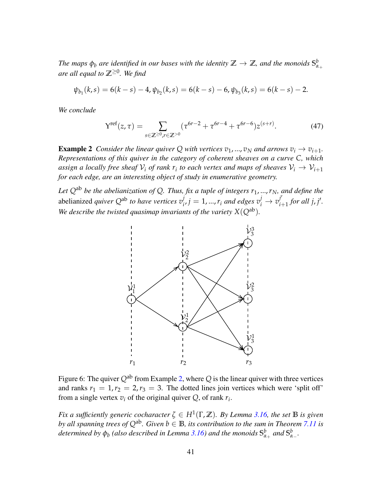*The maps*  $\phi_b$  *are identified in our bases with the identity*  $\mathbb{Z} \to \mathbb{Z}$ *, and the monoids*  $S^b_\alpha$ *α*+ *are all equal to* **Z**≥<sup>0</sup> *. We find*

$$
\psi_{b_1}(k,s) = 6(k-s) - 4, \psi_{b_2}(k,s) = 6(k-s) - 6, \psi_{b_3}(k,s) = 6(k-s) - 2.
$$

*We conclude*

$$
Y^{\text{ref}}(z,\tau) = \sum_{s \in \mathbb{Z} \ge 0, r \in \mathbb{Z} > 0} (\tau^{6r-2} + \tau^{6r-4} + \tau^{6r-6}) z^{(s+r)}.
$$
\n(47)

<span id="page-40-0"></span>**Example 2** *Consider the linear quiver* Q *with vertices*  $v_1$ , ...,  $v_N$  *and arrows*  $v_i \rightarrow v_{i+1}$ . *Representations of this quiver in the category of coherent sheaves on a curve C, which* assign a locally free sheaf  $\mathcal{V}_i$  of rank  $r_i$  to each vertex and maps of sheaves  $\mathcal{V}_i \rightarrow \mathcal{V}_{i+1}$ *for each edge, are an interesting object of study in enumerative geometry.*

*Let*  $Q^{ab}$  *be the abelianization of*  $Q$ *. Thus, fix a tuple of integers*  $r_1$ , ...,  $r_N$ *, and define the* abelianized *quiver Q*ab *to have vertices v j*  $\vec{v}_i$ ,  $j = 1, ..., r_i$  and edges  $v_i^j \rightarrow v_i^{j'}$  $j'_{i+1}$  *for all j, j'. We describe the twisted quasimap invariants of the variety*  $X(Q^{ab})$ *.* 



Figure 6: The quiver  $Q^{ab}$  from Example [2,](#page-40-0) where  $Q$  is the linear quiver with three vertices and ranks  $r_1 = 1, r_2 = 2, r_3 = 3$ . The dotted lines join vertices which were 'split off' from a single vertex  $v_i$  of the original quiver  $Q$ , of rank  $r_i$ .

*Fix a sufficiently generic cocharacter*  $\zeta \in H^1(\Gamma, \mathbb{Z})$ *. By Lemma [3.16,](#page-12-1) the set*  $\mathbb B$  *is given by all spanning trees of*  $Q^{ab}$ *. Given*  $b \in \mathbb{B}$ *, its contribution to the sum in Theorem* [7.11](#page-39-0) *is*  $d$ etermined by  $\phi_b$  (also described in Lemma [3.16\)](#page-12-1) and the monoids  $\mathbb{S}^b_\alpha$ *α*+ *and* **S** *b α*− *.*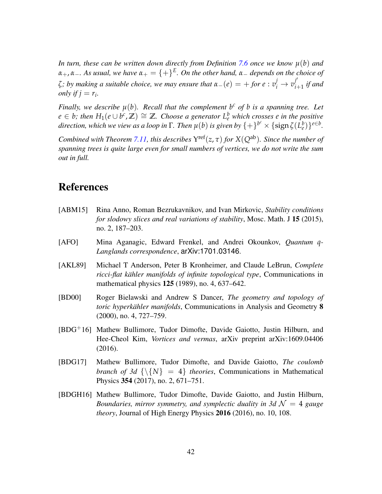*In turn, these can be written down directly from Definition [7.6](#page-38-1) once we know µ*(*b*) *and α*+, *α*−*. As usual, we have α*<sup>+</sup> = {+} *E . On the other hand, α*<sup>−</sup> *depends on the choice of ζ*; by making a suitable choice, we may ensure that  $\alpha_-(e) = +$  for  $e : v_i^j \rightarrow v_i^{j'}$ .  $\int_{i+1}^{j}$  *if and only if*  $j = r_i$ .

*Finally, we describe*  $\mu(b)$ *. Recall that the complement*  $b^c$  *of b is a spanning tree. Let*  $e \in b$ ; then  $H_1(e \cup b^c, \mathbb{Z}) \cong \mathbb{Z}$ . Choose a generator  $L^b_e$  which crosses *e* in the positive  $direction$ , which we view as a loop in  $\Gamma$ . Then  $\mu(b)$  is given by  $\{+\}^{b^c}\times\{\text{sign}\,\zeta(L^b_e)\}^{e\in b}$ .

*Combined with Theorem [7.11,](#page-39-0) this describes*  $Y^{\text{ref}}(z, \tau)$  *for*  $X(Q^{\text{ab}})$ *. Since the number of spanning trees is quite large even for small numbers of vertices, we do not write the sum out in full.*

# References

- <span id="page-41-1"></span>[ABM15] Rina Anno, Roman Bezrukavnikov, and Ivan Mirkovic, *Stability conditions for slodowy slices and real variations of stability*, Mosc. Math. J 15 (2015), no. 2, 187–203.
- <span id="page-41-0"></span>[AFO] Mina Aganagic, Edward Frenkel, and Andrei Okounkov, *Quantum q-Langlands correspondence*, arXiv:1701.03146.
- <span id="page-41-6"></span>[AKL89] Michael T Anderson, Peter B Kronheimer, and Claude LeBrun, *Complete ricci-flat kähler manifolds of infinite topological type, Communications in* mathematical physics 125 (1989), no. 4, 637–642.
- <span id="page-41-5"></span>[BD00] Roger Bielawski and Andrew S Dancer, *The geometry and topology of toric hyperkähler manifolds*, Communications in Analysis and Geometry 8 (2000), no. 4, 727–759.
- <span id="page-41-3"></span>[BDG+16] Mathew Bullimore, Tudor Dimofte, Davide Gaiotto, Justin Hilburn, and Hee-Cheol Kim, *Vortices and vermas*, arXiv preprint arXiv:1609.04406 (2016).
- <span id="page-41-2"></span>[BDG17] Mathew Bullimore, Tudor Dimofte, and Davide Gaiotto, *The coulomb branch of 3d*  $\{\{N\} = 4\}$  *theories*, Communications in Mathematical Physics 354 (2017), no. 2, 671–751.
- <span id="page-41-4"></span>[BDGH16] Mathew Bullimore, Tudor Dimofte, Davide Gaiotto, and Justin Hilburn, *Boundaries, mirror symmetry, and symplectic duality in 3d*  $\mathcal{N} = 4$  *gauge theory*, Journal of High Energy Physics 2016 (2016), no. 10, 108.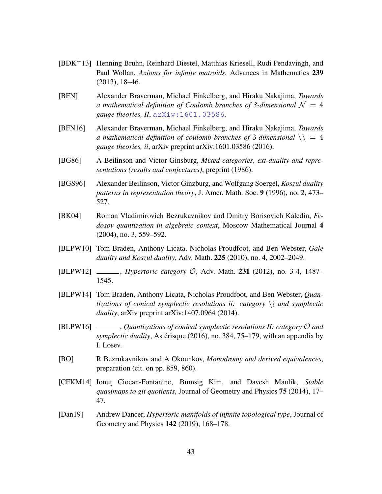- <span id="page-42-11"></span>[BDK+13] Henning Bruhn, Reinhard Diestel, Matthias Kriesell, Rudi Pendavingh, and Paul Wollan, *Axioms for infinite matroids*, Advances in Mathematics 239 (2013), 18–46.
- <span id="page-42-4"></span>[BFN] Alexander Braverman, Michael Finkelberg, and Hiraku Nakajima, *Towards a* mathematical definition of Coulomb branches of 3-dimensional  $\mathcal{N} = 4$ *gauge theories, II*, [arXiv:1601.03586](http://arxiv.org/abs/1601.03586).
- <span id="page-42-2"></span>[BFN16] Alexander Braverman, Michael Finkelberg, and Hiraku Nakajima, *Towards a mathematical definition of coulomb branches of 3-dimensional*  $\setminus$  = 4 *gauge theories, ii*, arXiv preprint arXiv:1601.03586 (2016).
- <span id="page-42-7"></span>[BG86] A Beilinson and Victor Ginsburg, *Mixed categories, ext-duality and representations (results and conjectures)*, preprint (1986).
- <span id="page-42-8"></span>[BGS96] Alexander Beilinson, Victor Ginzburg, and Wolfgang Soergel, *Koszul duality patterns in representation theory*, J. Amer. Math. Soc. 9 (1996), no. 2, 473– 527.
- <span id="page-42-9"></span>[BK04] Roman Vladimirovich Bezrukavnikov and Dmitry Borisovich Kaledin, *Fedosov quantization in algebraic context*, Moscow Mathematical Journal 4 (2004), no. 3, 559–592.
- <span id="page-42-5"></span>[BLPW10] Tom Braden, Anthony Licata, Nicholas Proudfoot, and Ben Webster, *Gale duality and Koszul duality*, Adv. Math. 225 (2010), no. 4, 2002–2049.
- <span id="page-42-3"></span>[BLPW12] , *Hypertoric category* O, Adv. Math. 231 (2012), no. 3-4, 1487– 1545.
- <span id="page-42-1"></span>[BLPW14] Tom Braden, Anthony Licata, Nicholas Proudfoot, and Ben Webster, *Quantizations of conical symplectic resolutions ii: category*  $\lambda$  *and symplectic duality*, arXiv preprint arXiv:1407.0964 (2014).
- <span id="page-42-6"></span>[BLPW16] , *Quantizations of conical symplectic resolutions II: category* O *and symplectic duality*, Astérisque (2016), no. 384, 75–179, with an appendix by I. Losev.
- <span id="page-42-0"></span>[BO] R Bezrukavnikov and A Okounkov, *Monodromy and derived equivalences*, preparation (cit. on pp. 859, 860).
- <span id="page-42-10"></span>[CFKM14] Ionut¸ Ciocan-Fontanine, Bumsig Kim, and Davesh Maulik, *Stable quasimaps to git quotients*, Journal of Geometry and Physics 75 (2014), 17– 47.
- <span id="page-42-12"></span>[Dan19] Andrew Dancer, *Hypertoric manifolds of infinite topological type*, Journal of Geometry and Physics 142 (2019), 168–178.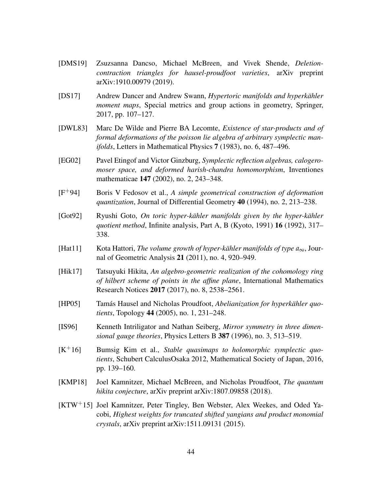- <span id="page-43-5"></span>[DMS19] Zsuzsanna Dancso, Michael McBreen, and Vivek Shende, *Deletioncontraction triangles for hausel-proudfoot varieties*, arXiv preprint arXiv:1910.00979 (2019).
- <span id="page-43-12"></span>[DS17] Andrew Dancer and Andrew Swann, *Hypertoric manifolds and hyperkähler moment maps*, Special metrics and group actions in geometry, Springer, 2017, pp. 107–127.
- <span id="page-43-8"></span>[DWL83] Marc De Wilde and Pierre BA Lecomte, *Existence of star-products and of formal deformations of the poisson lie algebra of arbitrary symplectic manifolds*, Letters in Mathematical Physics 7 (1983), no. 6, 487–496.
- <span id="page-43-0"></span>[EG02] Pavel Etingof and Victor Ginzburg, *Symplectic reflection algebras, calogeromoser space, and deformed harish-chandra homomorphism*, Inventiones mathematicae 147 (2002), no. 2, 243–348.
- <span id="page-43-9"></span>[F+94] Boris V Fedosov et al., *A simple geometrical construction of deformation quantization*, Journal of Differential Geometry 40 (1994), no. 2, 213–238.
- <span id="page-43-11"></span>[Got92] Ryushi Goto, *On toric hyper-kähler manifolds given by the hyper-kähler quotient method*, Infinite analysis, Part A, B (Kyoto, 1991) 16 (1992), 317– 338.
- <span id="page-43-10"></span>[Hat11] Kota Hattori, *The volume growth of hyper-kähler manifolds of type*  $a_{\infty}$ , Journal of Geometric Analysis 21 (2011), no. 4, 920–949.
- <span id="page-43-2"></span>[Hik17] Tatsuyuki Hikita, *An algebro-geometric realization of the cohomology ring of hilbert scheme of points in the affine plane*, International Mathematics Research Notices 2017 (2017), no. 8, 2538–2561.
- <span id="page-43-7"></span>[HP05] Tamás Hausel and Nicholas Proudfoot, *Abelianization for hyperkähler quotients*, Topology 44 (2005), no. 1, 231–248.
- <span id="page-43-1"></span>[IS96] Kenneth Intriligator and Nathan Seiberg, *Mirror symmetry in three dimensional gauge theories*, Physics Letters B 387 (1996), no. 3, 513–519.
- <span id="page-43-6"></span>[K+16] Bumsig Kim et al., *Stable quasimaps to holomorphic symplectic quotients*, Schubert CalculusOsaka 2012, Mathematical Society of Japan, 2016, pp. 139–160.
- <span id="page-43-4"></span>[KMP18] Joel Kamnitzer, Michael McBreen, and Nicholas Proudfoot, *The quantum hikita conjecture*, arXiv preprint arXiv:1807.09858 (2018).
- <span id="page-43-3"></span>[KTW+15] Joel Kamnitzer, Peter Tingley, Ben Webster, Alex Weekes, and Oded Yacobi, *Highest weights for truncated shifted yangians and product monomial crystals*, arXiv preprint arXiv:1511.09131 (2015).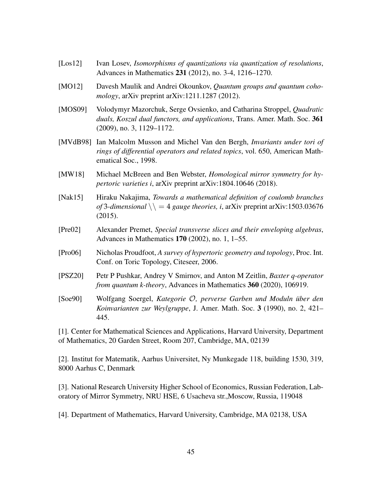- <span id="page-44-8"></span>[Los12] Ivan Losev, *Isomorphisms of quantizations via quantization of resolutions*, Advances in Mathematics 231 (2012), no. 3-4, 1216–1270.
- <span id="page-44-1"></span>[MO12] Davesh Maulik and Andrei Okounkov, *Quantum groups and quantum cohomology*, arXiv preprint arXiv:1211.1287 (2012).
- <span id="page-44-7"></span>[MOS09] Volodymyr Mazorchuk, Serge Ovsienko, and Catharina Stroppel, *Quadratic duals, Koszul dual functors, and applications*, Trans. Amer. Math. Soc. 361 (2009), no. 3, 1129–1172.
- <span id="page-44-4"></span>[MVdB98] Ian Malcolm Musson and Michel Van den Bergh, *Invariants under tori of rings of differential operators and related topics*, vol. 650, American Mathematical Soc., 1998.
- <span id="page-44-9"></span>[MW18] Michael McBreen and Ben Webster, *Homological mirror symmetry for hypertoric varieties i*, arXiv preprint arXiv:1804.10646 (2018).
- <span id="page-44-3"></span>[Nak15] Hiraku Nakajima, *Towards a mathematical definition of coulomb branches of* 3-dimensional  $\setminus$  = 4 *gauge theories, i,* arXiv preprint arXiv:1503.03676 (2015).
- <span id="page-44-0"></span>[Pre02] Alexander Premet, *Special transverse slices and their enveloping algebras*, Advances in Mathematics 170 (2002), no. 1, 1–55.
- <span id="page-44-6"></span>[Pro06] Nicholas Proudfoot, *A survey of hypertoric geometry and topology*, Proc. Int. Conf. on Toric Topology, Citeseer, 2006.
- <span id="page-44-2"></span>[PSZ20] Petr P Pushkar, Andrey V Smirnov, and Anton M Zeitlin, *Baxter q-operator from quantum k-theory*, Advances in Mathematics 360 (2020), 106919.
- <span id="page-44-5"></span>[Soe90] Wolfgang Soergel, *Kategorie* O*, perverse Garben und Moduln uber den ¨ Koinvarianten zur Weylgruppe*, J. Amer. Math. Soc. 3 (1990), no. 2, 421– 445.

[1]. Center for Mathematical Sciences and Applications, Harvard University, Department of Mathematics, 20 Garden Street, Room 207, Cambridge, MA, 02139

[2]. Institut for Matematik, Aarhus Universitet, Ny Munkegade 118, building 1530, 319, 8000 Aarhus C, Denmark

[3]. National Research University Higher School of Economics, Russian Federation, Laboratory of Mirror Symmetry, NRU HSE, 6 Usacheva str.,Moscow, Russia, 119048

[4]. Department of Mathematics, Harvard University, Cambridge, MA 02138, USA